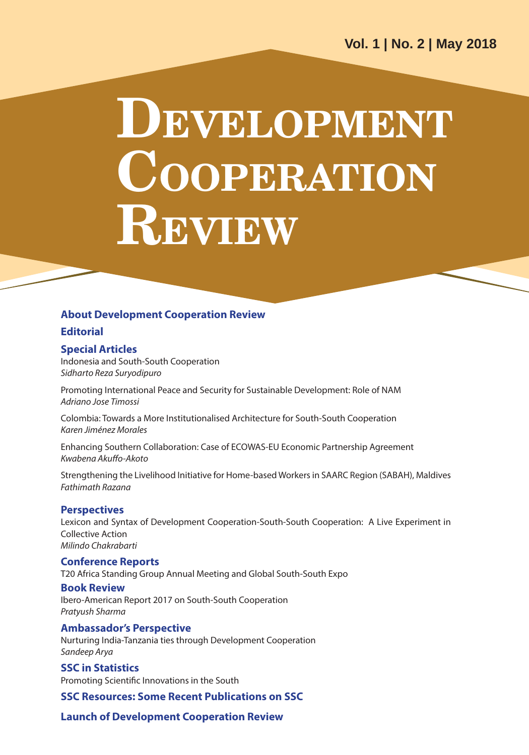# **DEVELOPMENT COOPERATION REVIEW**

#### **About Development Cooperation Review**

#### **Editorial**

#### **Special Articles**

Indonesia and South-South Cooperation *Sidharto Reza Suryodipuro*

Promoting International Peace and Security for Sustainable Development: Role of NAM *Adriano Jose Timossi*

Colombia: Towards a More Institutionalised Architecture for South-South Cooperation *Karen Jiménez Morales*

Enhancing Southern Collaboration: Case of ECOWAS-EU Economic Partnership Agreement *Kwabena Akuffo-Akoto*

Strengthening the Livelihood Initiative for Home-based Workers in SAARC Region (SABAH), Maldives *Fathimath Razana*

#### **Perspectives**

Lexicon and Syntax of Development Cooperation-South-South Cooperation: A Live Experiment in Collective Action *Milindo Chakrabarti*

#### **Conference Reports**

T20 Africa Standing Group Annual Meeting and Global South-South Expo

#### **Book Review**

Ibero-American Report 2017 on South-South Cooperation *Pratyush Sharma*

#### **Ambassador's Perspective**

Nurturing India-Tanzania ties through Development Cooperation *Sandeep Arya*

**SSC in Statistics**  Promoting Scientific Innovations in the South

**SSC Resources: Some Recent Publications on SSC**

**Launch of Development Cooperation Review**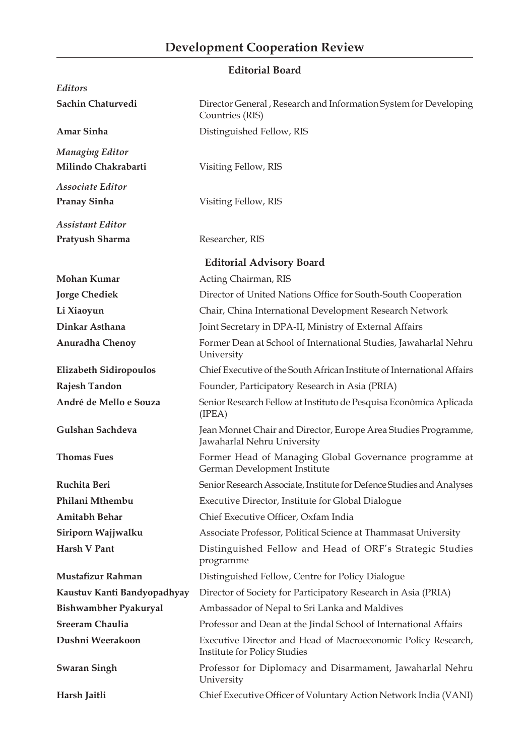### **Editorial Board**

| Editors                                       |                                                                                               |  |  |
|-----------------------------------------------|-----------------------------------------------------------------------------------------------|--|--|
| Sachin Chaturvedi                             | Director General, Research and Information System for Developing<br>Countries (RIS)           |  |  |
| Amar Sinha                                    | Distinguished Fellow, RIS                                                                     |  |  |
| <b>Managing Editor</b><br>Milindo Chakrabarti | Visiting Fellow, RIS                                                                          |  |  |
| Associate Editor                              |                                                                                               |  |  |
| <b>Pranay Sinha</b>                           | Visiting Fellow, RIS                                                                          |  |  |
| <b>Assistant Editor</b><br>Pratyush Sharma    | Researcher, RIS                                                                               |  |  |
|                                               |                                                                                               |  |  |
|                                               | <b>Editorial Advisory Board</b>                                                               |  |  |
| <b>Mohan Kumar</b>                            | Acting Chairman, RIS                                                                          |  |  |
| <b>Jorge Chediek</b>                          | Director of United Nations Office for South-South Cooperation                                 |  |  |
| Li Xiaoyun                                    | Chair, China International Development Research Network                                       |  |  |
| Dinkar Asthana                                | Joint Secretary in DPA-II, Ministry of External Affairs                                       |  |  |
| Anuradha Chenoy                               | Former Dean at School of International Studies, Jawaharlal Nehru<br>University                |  |  |
| <b>Elizabeth Sidiropoulos</b>                 | Chief Executive of the South African Institute of International Affairs                       |  |  |
| Rajesh Tandon                                 | Founder, Participatory Research in Asia (PRIA)                                                |  |  |
| André de Mello e Souza                        | Senior Research Fellow at Instituto de Pesquisa Econômica Aplicada<br>(IPEA)                  |  |  |
| Gulshan Sachdeva                              | Jean Monnet Chair and Director, Europe Area Studies Programme,<br>Jawaharlal Nehru University |  |  |
| <b>Thomas Fues</b>                            | Former Head of Managing Global Governance programme at<br>German Development Institute        |  |  |
| Ruchita Beri                                  | Senior Research Associate, Institute for Defence Studies and Analyses                         |  |  |
| Philani Mthembu                               | Executive Director, Institute for Global Dialogue                                             |  |  |
| <b>Amitabh Behar</b>                          | Chief Executive Officer, Oxfam India                                                          |  |  |
| Siriporn Wajjwalku                            | Associate Professor, Political Science at Thammasat University                                |  |  |
| Harsh V Pant                                  | Distinguished Fellow and Head of ORF's Strategic Studies<br>programme                         |  |  |
| Mustafizur Rahman                             | Distinguished Fellow, Centre for Policy Dialogue                                              |  |  |
| Kaustuv Kanti Bandyopadhyay                   | Director of Society for Participatory Research in Asia (PRIA)                                 |  |  |
| Bishwambher Pyakuryal                         | Ambassador of Nepal to Sri Lanka and Maldives                                                 |  |  |
| <b>Sreeram Chaulia</b>                        | Professor and Dean at the Jindal School of International Affairs                              |  |  |
| Dushni Weerakoon                              | Executive Director and Head of Macroeconomic Policy Research,<br>Institute for Policy Studies |  |  |
| <b>Swaran Singh</b>                           | Professor for Diplomacy and Disarmament, Jawaharlal Nehru<br>University                       |  |  |
| Harsh Jaitli                                  | Chief Executive Officer of Voluntary Action Network India (VANI)                              |  |  |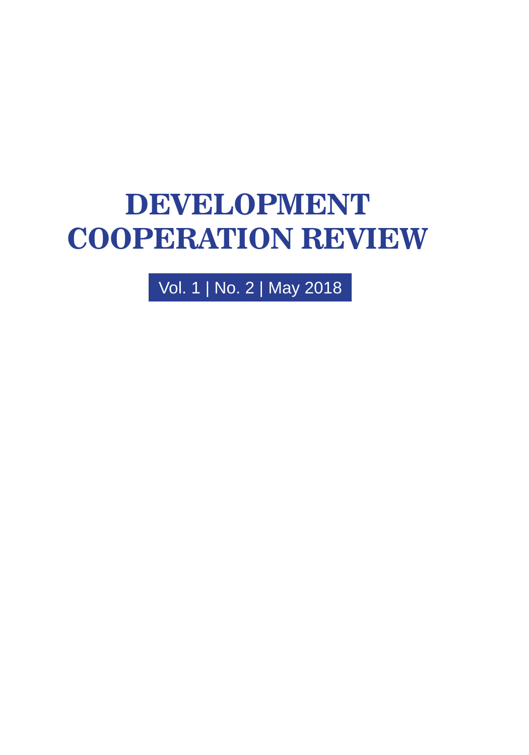# **DEVELOPMENT COOPERATION REVIEW**

Vol. 1 | No. 2 | May 2018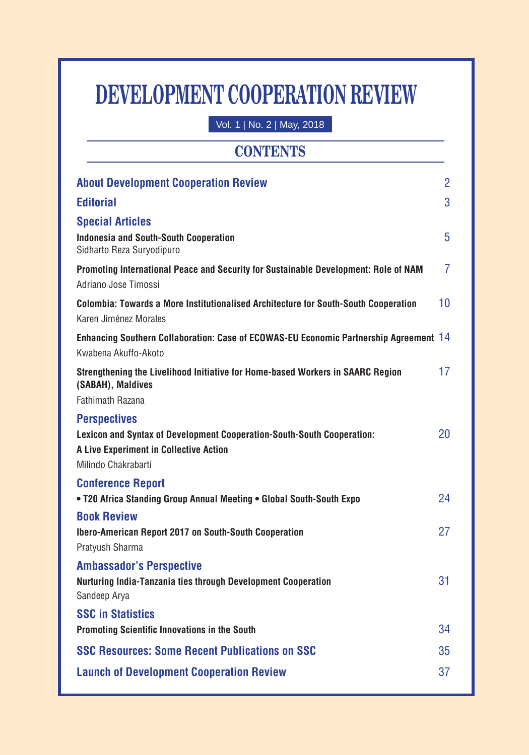# **DEVELOPMENT COOPERATION REVIEW**

Vol. 1 | No. 2 | May, 2018

# **CONTENTS**

| <b>About Development Cooperation Review</b>                                                                                                                    | $\overline{2}$ |
|----------------------------------------------------------------------------------------------------------------------------------------------------------------|----------------|
| <b>Editorial</b>                                                                                                                                               | 3              |
| <b>Special Articles</b><br><b>Indonesia and South-South Cooperation</b><br>Sidharto Reza Suryodipuro                                                           | 5              |
| Promoting International Peace and Security for Sustainable Development: Role of NAM<br>Adriano Jose Timossi                                                    | 7              |
| <b>Colombia: Towards a More Institutionalised Architecture for South-South Cooperation</b><br>Karen Jiménez Morales                                            | 10             |
| Enhancing Southern Collaboration: Case of ECOWAS-EU Economic Partnership Agreement 14<br>Kwabena Akuffo-Akoto                                                  |                |
| Strengthening the Livelihood Initiative for Home-based Workers in SAARC Region<br>(SABAH), Maldives<br><b>Fathimath Razana</b>                                 | 17             |
| <b>Perspectives</b><br>Lexicon and Syntax of Development Cooperation-South-South Cooperation:<br>A Live Experiment in Collective Action<br>Milindo Chakrabarti | 20             |
| <b>Conference Report</b><br>. T20 Africa Standing Group Annual Meeting . Global South-South Expo                                                               | 24             |
| <b>Book Review</b><br>Ibero-American Report 2017 on South-South Cooperation<br>Pratyush Sharma                                                                 | 27             |
| <b>Ambassador's Perspective</b><br>Nurturing India-Tanzania ties through Development Cooperation<br>Sandeep Arya                                               | 31             |
| <b>SSC in Statistics</b><br>Promoting Scientific Innovations in the South                                                                                      | 34             |
| <b>SSC Resources: Some Recent Publications on SSC</b>                                                                                                          | 35             |
| <b>Launch of Development Cooperation Review</b>                                                                                                                | 37             |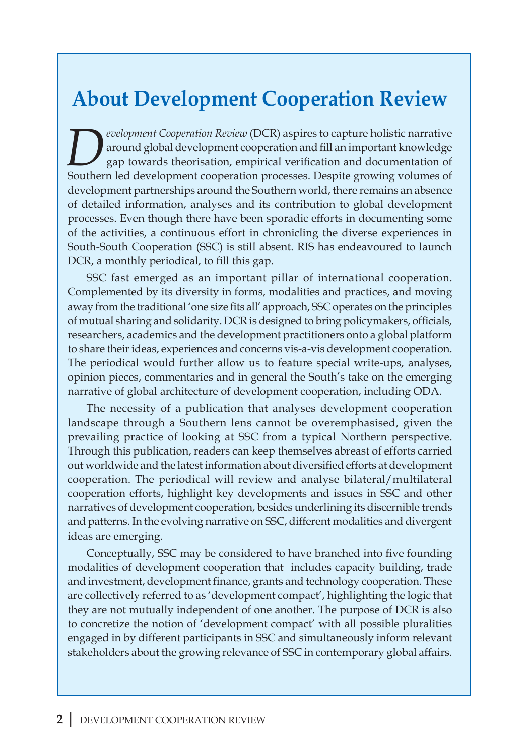# **About Development Cooperation Review**

*Pevelopment Cooperation Review* (DCR) aspires to capture holistic narrative around global development cooperation and fill an important knowledge gap towards theorisation, empirical verification and documentation of South around global development cooperation and fill an important knowledge gap towards theorisation, empirical verification and documentation of Southern led development cooperation processes. Despite growing volumes of development partnerships around the Southern world, there remains an absence of detailed information, analyses and its contribution to global development processes. Even though there have been sporadic efforts in documenting some of the activities, a continuous effort in chronicling the diverse experiences in South-South Cooperation (SSC) is still absent. RIS has endeavoured to launch DCR, a monthly periodical, to fill this gap.

SSC fast emerged as an important pillar of international cooperation. Complemented by its diversity in forms, modalities and practices, and moving away from the traditional 'one size fits all' approach, SSC operates on the principles of mutual sharing and solidarity. DCR is designed to bring policymakers, officials, researchers, academics and the development practitioners onto a global platform to share their ideas, experiences and concerns vis-a-vis development cooperation. The periodical would further allow us to feature special write-ups, analyses, opinion pieces, commentaries and in general the South's take on the emerging narrative of global architecture of development cooperation, including ODA.

The necessity of a publication that analyses development cooperation landscape through a Southern lens cannot be overemphasised, given the prevailing practice of looking at SSC from a typical Northern perspective. Through this publication, readers can keep themselves abreast of efforts carried out worldwide and the latest information about diversified efforts at development cooperation. The periodical will review and analyse bilateral/multilateral cooperation efforts, highlight key developments and issues in SSC and other narratives of development cooperation, besides underlining its discernible trends and patterns. In the evolving narrative on SSC, different modalities and divergent ideas are emerging.

Conceptually, SSC may be considered to have branched into five founding modalities of development cooperation that includes capacity building, trade and investment, development finance, grants and technology cooperation. These are collectively referred to as 'development compact', highlighting the logic that they are not mutually independent of one another. The purpose of DCR is also to concretize the notion of 'development compact' with all possible pluralities engaged in by different participants in SSC and simultaneously inform relevant stakeholders about the growing relevance of SSC in contemporary global affairs.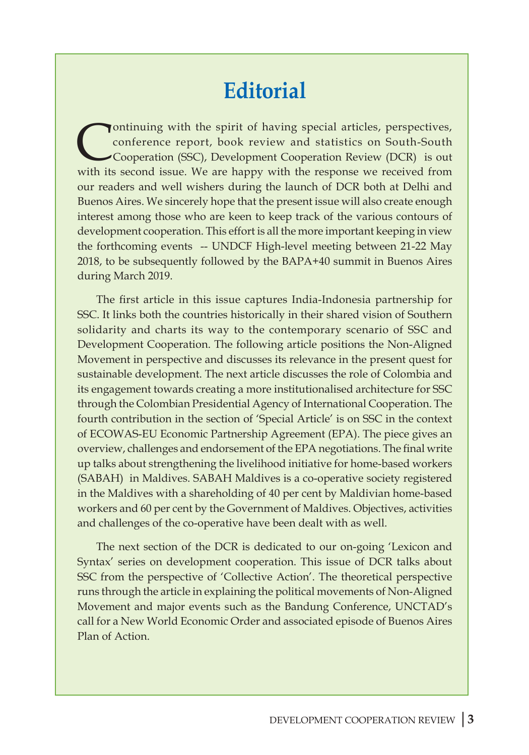# **Editorial**

Yontinuing with the spirit of having special articles, perspectives, conference report, book review and statistics on South-South Cooperation (SSC), Development Cooperation Review (DCR) is out with its second issue. We are happy with the response we received from our readers and well wishers during the launch of DCR both at Delhi and Buenos Aires. We sincerely hope that the present issue will also create enough interest among those who are keen to keep track of the various contours of development cooperation. This effort is all the more important keeping in view the forthcoming events -- UNDCF High-level meeting between 21-22 May 2018, to be subsequently followed by the BAPA+40 summit in Buenos Aires during March 2019.

The first article in this issue captures India-Indonesia partnership for SSC. It links both the countries historically in their shared vision of Southern solidarity and charts its way to the contemporary scenario of SSC and Development Cooperation. The following article positions the Non-Aligned Movement in perspective and discusses its relevance in the present quest for sustainable development. The next article discusses the role of Colombia and its engagement towards creating a more institutionalised architecture for SSC through the Colombian Presidential Agency of International Cooperation. The fourth contribution in the section of 'Special Article' is on SSC in the context of ECOWAS-EU Economic Partnership Agreement (EPA). The piece gives an overview, challenges and endorsement of the EPA negotiations. The final write up talks about strengthening the livelihood initiative for home-based workers (SABAH) in Maldives. SABAH Maldives is a co-operative society registered in the Maldives with a shareholding of 40 per cent by Maldivian home-based workers and 60 per cent by the Government of Maldives. Objectives, activities and challenges of the co-operative have been dealt with as well.

The next section of the DCR is dedicated to our on-going 'Lexicon and Syntax' series on development cooperation. This issue of DCR talks about SSC from the perspective of 'Collective Action'. The theoretical perspective runs through the article in explaining the political movements of Non-Aligned Movement and major events such as the Bandung Conference, UNCTAD's call for a New World Economic Order and associated episode of Buenos Aires Plan of Action.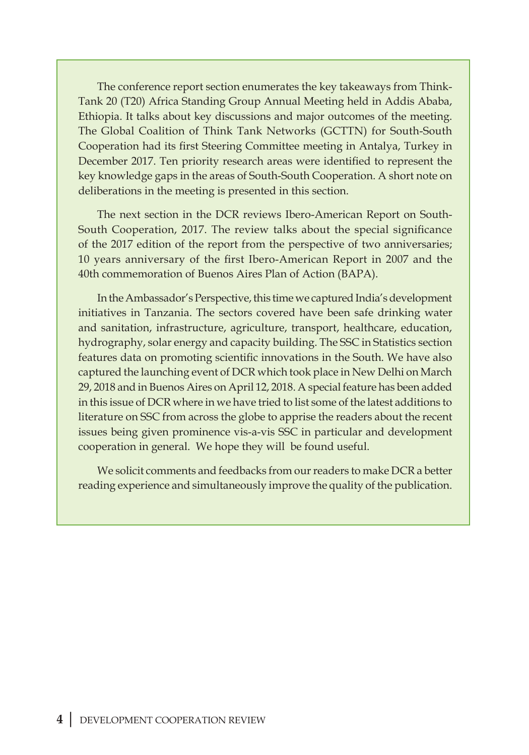The conference report section enumerates the key takeaways from Think-Tank 20 (T20) Africa Standing Group Annual Meeting held in Addis Ababa, Ethiopia. It talks about key discussions and major outcomes of the meeting. The Global Coalition of Think Tank Networks (GCTTN) for South-South Cooperation had its first Steering Committee meeting in Antalya, Turkey in December 2017. Ten priority research areas were identified to represent the key knowledge gaps in the areas of South-South Cooperation. A short note on deliberations in the meeting is presented in this section.

The next section in the DCR reviews Ibero-American Report on South-South Cooperation, 2017. The review talks about the special significance of the 2017 edition of the report from the perspective of two anniversaries; 10 years anniversary of the first Ibero-American Report in 2007 and the 40th commemoration of Buenos Aires Plan of Action (BAPA).

In the Ambassador's Perspective, this time we captured India's development initiatives in Tanzania. The sectors covered have been safe drinking water and sanitation, infrastructure, agriculture, transport, healthcare, education, hydrography, solar energy and capacity building. The SSC in Statistics section features data on promoting scientific innovations in the South. We have also captured the launching event of DCR which took place in New Delhi on March 29, 2018 and in Buenos Aires on April 12, 2018. A special feature has been added in this issue of DCR where in we have tried to list some of the latest additions to literature on SSC from across the globe to apprise the readers about the recent issues being given prominence vis-a-vis SSC in particular and development cooperation in general. We hope they will be found useful.

We solicit comments and feedbacks from our readers to make DCR a better reading experience and simultaneously improve the quality of the publication.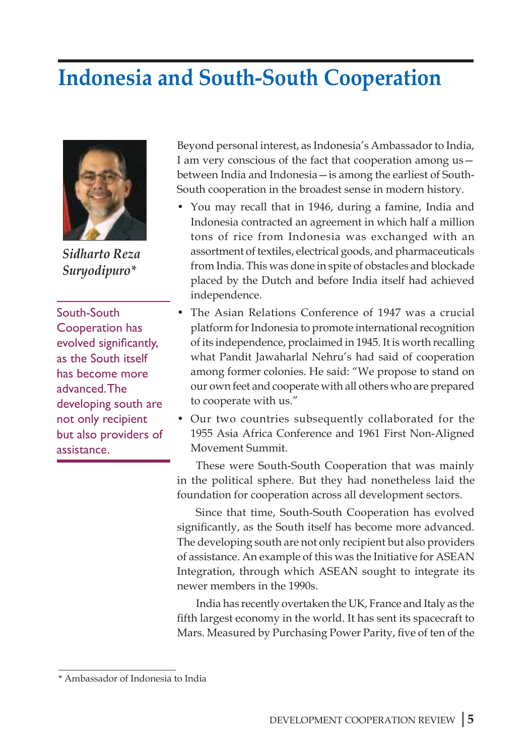# **Indonesia and South-South Cooperation**



*Sidharto Reza Suryodipuro\**

South-South Cooperation has evolved significantly, as the South itself has become more advanced. The developing south are not only recipient but also providers of assistance.

Beyond personal interest, as Indonesia's Ambassador to India, I am very conscious of the fact that cooperation among us between India and Indonesia—is among the earliest of South-South cooperation in the broadest sense in modern history.

- You may recall that in 1946, during a famine, India and Indonesia contracted an agreement in which half a million tons of rice from Indonesia was exchanged with an assortment of textiles, electrical goods, and pharmaceuticals from India. This was done in spite of obstacles and blockade placed by the Dutch and before India itself had achieved independence.
- The Asian Relations Conference of 1947 was a crucial platform for Indonesia to promote international recognition of its independence, proclaimed in 1945. It is worth recalling what Pandit Jawaharlal Nehru's had said of cooperation among former colonies. He said: "We propose to stand on our own feet and cooperate with all others who are prepared to cooperate with us."
- Our two countries subsequently collaborated for the 1955 Asia Africa Conference and 1961 First Non-Aligned Movement Summit.

These were South-South Cooperation that was mainly in the political sphere. But they had nonetheless laid the foundation for cooperation across all development sectors.

Since that time, South-South Cooperation has evolved significantly, as the South itself has become more advanced. The developing south are not only recipient but also providers of assistance. An example of this was the Initiative for ASEAN Integration, through which ASEAN sought to integrate its newer members in the 1990s.

India has recently overtaken the UK, France and Italy as the fifth largest economy in the world. It has sent its spacecraft to Mars. Measured by Purchasing Power Parity, five of ten of the

<sup>\*</sup> Ambassador of Indonesia to India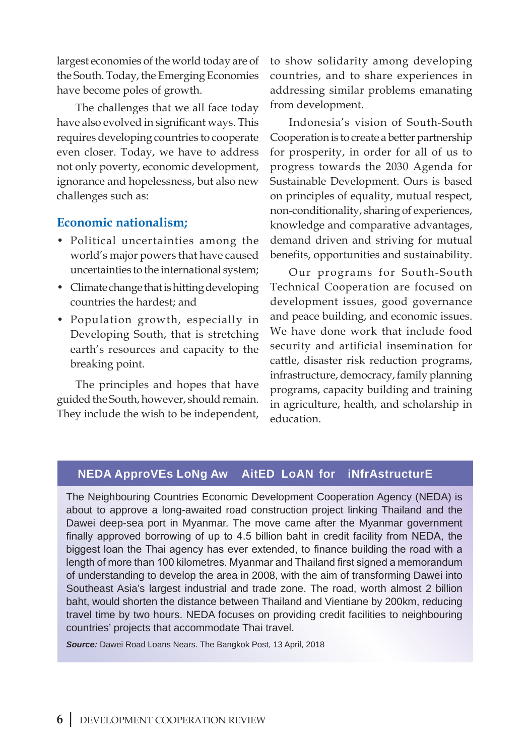largest economies of the world today are of the South. Today, the Emerging Economies have become poles of growth.

The challenges that we all face today have also evolved in significant ways. This requires developing countries to cooperate even closer. Today, we have to address not only poverty, economic development, ignorance and hopelessness, but also new challenges such as:

### **Economic nationalism;**

- Political uncertainties among the world's major powers that have caused uncertainties to the international system;
- Climate change that is hitting developing countries the hardest; and
- Population growth, especially in Developing South, that is stretching earth's resources and capacity to the breaking point.

The principles and hopes that have guided the South, however, should remain. They include the wish to be independent, to show solidarity among developing countries, and to share experiences in addressing similar problems emanating from development.

Indonesia's vision of South-South Cooperation is to create a better partnership for prosperity, in order for all of us to progress towards the 2030 Agenda for Sustainable Development. Ours is based on principles of equality, mutual respect, non-conditionality, sharing of experiences, knowledge and comparative advantages, demand driven and striving for mutual benefits, opportunities and sustainability.

Our programs for South-South Technical Cooperation are focused on development issues, good governance and peace building, and economic issues. We have done work that include food security and artificial insemination for cattle, disaster risk reduction programs, infrastructure, democracy, family planning programs, capacity building and training in agriculture, health, and scholarship in education.

### **NEDA Approves Long Aw aited Loan for Infrastructure**

The Neighbouring Countries Economic Development Cooperation Agency (NEDA) is about to approve a long-awaited road construction project linking Thailand and the Dawei deep-sea port in Myanmar. The move came after the Myanmar government finally approved borrowing of up to 4.5 billion baht in credit facility from NEDA, the biggest loan the Thai agency has ever extended, to finance building the road with a length of more than 100 kilometres. Myanmar and Thailand first signed a memorandum of understanding to develop the area in 2008, with the aim of transforming Dawei into Southeast Asia's largest industrial and trade zone. The road, worth almost 2 billion baht, would shorten the distance between Thailand and Vientiane by 200km, reducing travel time by two hours. NEDA focuses on providing credit facilities to neighbouring countries' projects that accommodate Thai travel.

**Source:** Dawei Road Loans Nears. The Bangkok Post, 13 April, 2018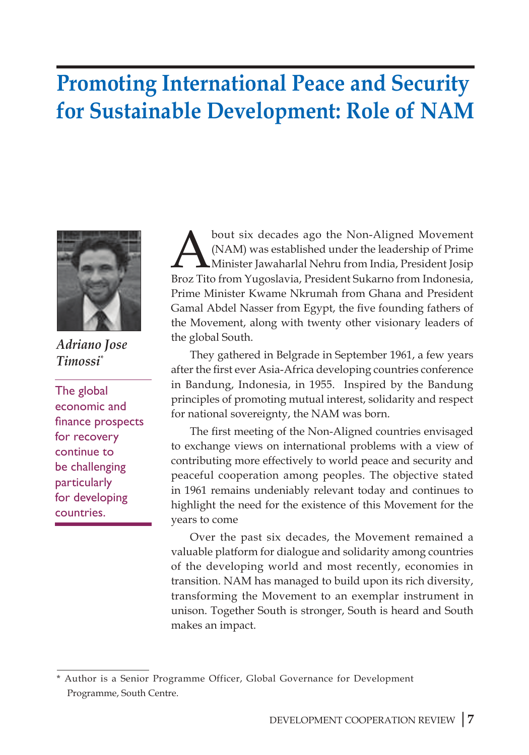# **Promoting International Peace and Security for Sustainable Development: Role of NAM**



*Adriano Jose Timossi\**

The global economic and finance prospects for recovery continue to be challenging particularly for developing countries.

bout six decades ago the Non-Aligned Movement<br>(NAM) was established under the leadership of Prime<br>Minister Jawaharlal Nehru from India, President Josip<br>Broz Tito from Yugoslavia, President Sukarno from Indonesia (NAM) was established under the leadership of Prime Minister Jawaharlal Nehru from India, President Josip Broz Tito from Yugoslavia, President Sukarno from Indonesia, Prime Minister Kwame Nkrumah from Ghana and President Gamal Abdel Nasser from Egypt, the five founding fathers of the Movement, along with twenty other visionary leaders of the global South.

They gathered in Belgrade in September 1961, a few years after the first ever Asia-Africa developing countries conference in Bandung, Indonesia, in 1955. Inspired by the Bandung principles of promoting mutual interest, solidarity and respect for national sovereignty, the NAM was born.

The first meeting of the Non-Aligned countries envisaged to exchange views on international problems with a view of contributing more effectively to world peace and security and peaceful cooperation among peoples. The objective stated in 1961 remains undeniably relevant today and continues to highlight the need for the existence of this Movement for the years to come

Over the past six decades, the Movement remained a valuable platform for dialogue and solidarity among countries of the developing world and most recently, economies in transition. NAM has managed to build upon its rich diversity, transforming the Movement to an exemplar instrument in unison. Together South is stronger, South is heard and South makes an impact.

<sup>\*</sup> Author is a Senior Programme Officer, Global Governance for Development Programme, South Centre.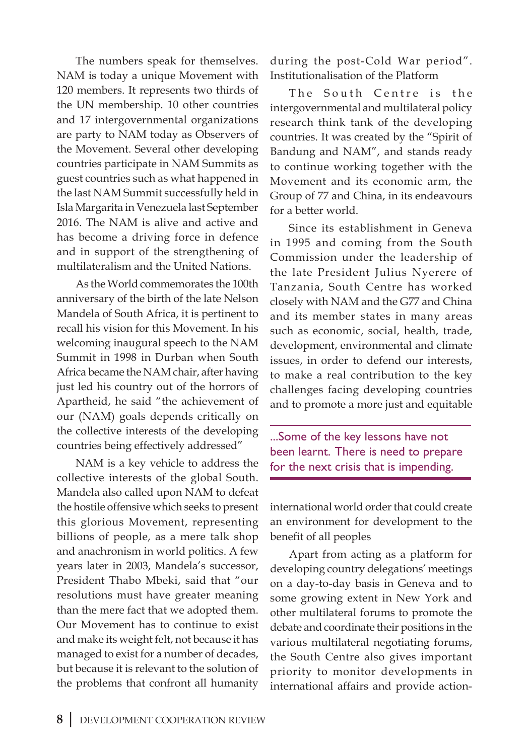The numbers speak for themselves. NAM is today a unique Movement with 120 members. It represents two thirds of the UN membership. 10 other countries and 17 intergovernmental organizations are party to NAM today as Observers of the Movement. Several other developing countries participate in NAM Summits as guest countries such as what happened in the last NAM Summit successfully held in Isla Margarita in Venezuela last September 2016. The NAM is alive and active and has become a driving force in defence and in support of the strengthening of multilateralism and the United Nations.

As the World commemorates the 100th anniversary of the birth of the late Nelson Mandela of South Africa, it is pertinent to recall his vision for this Movement. In his welcoming inaugural speech to the NAM Summit in 1998 in Durban when South Africa became the NAM chair, after having just led his country out of the horrors of Apartheid, he said "the achievement of our (NAM) goals depends critically on the collective interests of the developing countries being effectively addressed"

NAM is a key vehicle to address the collective interests of the global South. Mandela also called upon NAM to defeat the hostile offensive which seeks to present this glorious Movement, representing billions of people, as a mere talk shop and anachronism in world politics. A few years later in 2003, Mandela's successor, President Thabo Mbeki, said that "our resolutions must have greater meaning than the mere fact that we adopted them. Our Movement has to continue to exist and make its weight felt, not because it has managed to exist for a number of decades, but because it is relevant to the solution of the problems that confront all humanity during the post-Cold War period". Institutionalisation of the Platform

The South Centre is the intergovernmental and multilateral policy research think tank of the developing countries. It was created by the "Spirit of Bandung and NAM", and stands ready to continue working together with the Movement and its economic arm, the Group of 77 and China, in its endeavours for a better world.

Since its establishment in Geneva in 1995 and coming from the South Commission under the leadership of the late President Julius Nyerere of Tanzania, South Centre has worked closely with NAM and the G77 and China and its member states in many areas such as economic, social, health, trade, development, environmental and climate issues, in order to defend our interests, to make a real contribution to the key challenges facing developing countries and to promote a more just and equitable

...Some of the key lessons have not been learnt. There is need to prepare for the next crisis that is impending.

international world order that could create an environment for development to the benefit of all peoples

Apart from acting as a platform for developing country delegations' meetings on a day-to-day basis in Geneva and to some growing extent in New York and other multilateral forums to promote the debate and coordinate their positions in the various multilateral negotiating forums, the South Centre also gives important priority to monitor developments in international affairs and provide action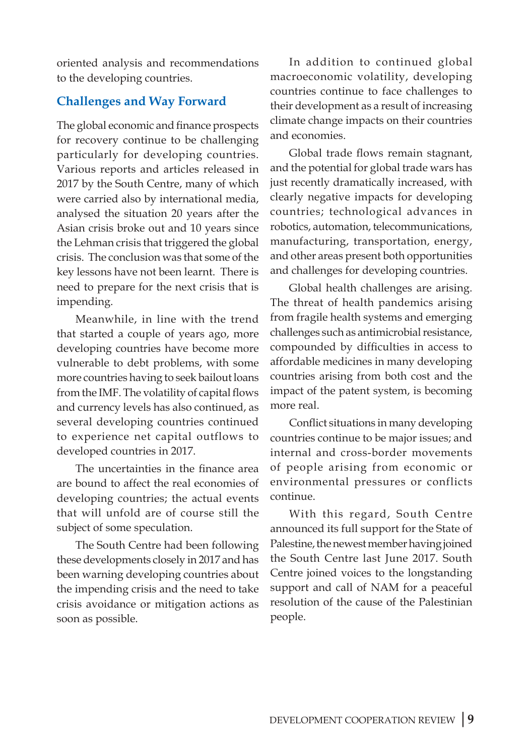oriented analysis and recommendations to the developing countries.

### **Challenges and Way Forward**

The global economic and finance prospects for recovery continue to be challenging particularly for developing countries. Various reports and articles released in 2017 by the South Centre, many of which were carried also by international media, analysed the situation 20 years after the Asian crisis broke out and 10 years since the Lehman crisis that triggered the global crisis. The conclusion was that some of the key lessons have not been learnt. There is need to prepare for the next crisis that is impending.

Meanwhile, in line with the trend that started a couple of years ago, more developing countries have become more vulnerable to debt problems, with some more countries having to seek bailout loans from the IMF. The volatility of capital flows and currency levels has also continued, as several developing countries continued to experience net capital outflows to developed countries in 2017.

The uncertainties in the finance area are bound to affect the real economies of developing countries; the actual events that will unfold are of course still the subject of some speculation.

The South Centre had been following these developments closely in 2017 and has been warning developing countries about the impending crisis and the need to take crisis avoidance or mitigation actions as soon as possible.

In addition to continued global macroeconomic volatility, developing countries continue to face challenges to their development as a result of increasing climate change impacts on their countries and economies.

Global trade flows remain stagnant, and the potential for global trade wars has just recently dramatically increased, with clearly negative impacts for developing countries; technological advances in robotics, automation, telecommunications, manufacturing, transportation, energy, and other areas present both opportunities and challenges for developing countries.

Global health challenges are arising. The threat of health pandemics arising from fragile health systems and emerging challenges such as antimicrobial resistance, compounded by difficulties in access to affordable medicines in many developing countries arising from both cost and the impact of the patent system, is becoming more real.

Conflict situations in many developing countries continue to be major issues; and internal and cross-border movements of people arising from economic or environmental pressures or conflicts continue.

With this regard, South Centre announced its full support for the State of Palestine, the newest member having joined the South Centre last June 2017. South Centre joined voices to the longstanding support and call of NAM for a peaceful resolution of the cause of the Palestinian people.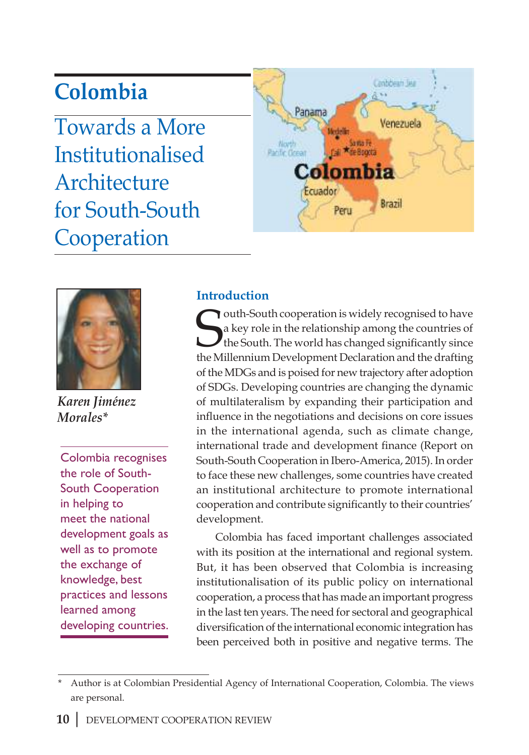# **Colombia**

Towards a More Institutionalised **Architecture** for South-South Cooperation





*Karen Jiménez Morales\**

Colombia recognises the role of South-South Cooperation in helping to meet the national development goals as well as to promote the exchange of knowledge, best practices and lessons learned among developing countries.

# **Introduction**

**South-South cooperation is widely recognised to have** a key role in the relationship among the countries of the South. The world has changed significantly since the Millennium Development Declaration and the drafting outh-South cooperation is widely recognised to have a key role in the relationship among the countries of the South. The world has changed significantly since of the MDGs and is poised for new trajectory after adoption of SDGs. Developing countries are changing the dynamic of multilateralism by expanding their participation and influence in the negotiations and decisions on core issues in the international agenda, such as climate change, international trade and development finance (Report on South-South Cooperation in Ibero-America, 2015). In order to face these new challenges, some countries have created an institutional architecture to promote international cooperation and contribute significantly to their countries' development.

Colombia has faced important challenges associated with its position at the international and regional system. But, it has been observed that Colombia is increasing institutionalisation of its public policy on international cooperation, a process that has made an important progress in the last ten years. The need for sectoral and geographical diversification of the international economic integration has been perceived both in positive and negative terms. The

<sup>\*</sup> Author is at Colombian Presidential Agency of International Cooperation, Colombia. The views are personal.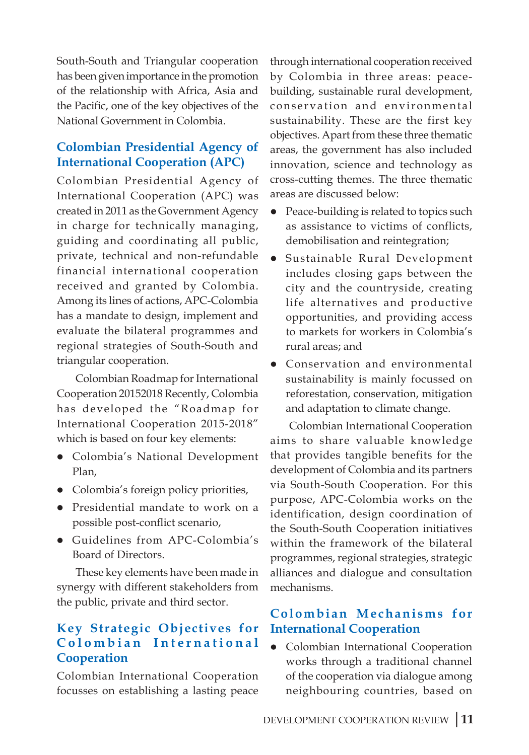South-South and Triangular cooperation has been given importance in the promotion of the relationship with Africa, Asia and the Pacific, one of the key objectives of the National Government in Colombia.

## **Colombian Presidential Agency of International Cooperation (APC)**

Colombian Presidential Agency of International Cooperation (APC) was created in 2011 as the Government Agency in charge for technically managing, guiding and coordinating all public, private, technical and non-refundable financial international cooperation received and granted by Colombia. Among its lines of actions, APC-Colombia has a mandate to design, implement and evaluate the bilateral programmes and regional strategies of South-South and triangular cooperation.

Colombian Roadmap for International Cooperation 20152018 Recently, Colombia has developed the "Roadmap for International Cooperation 2015-2018" which is based on four key elements:

- **•** Colombia's National Development Plan,
- Colombia's foreign policy priorities,
- Presidential mandate to work on a possible post-conflict scenario,
- **•** Guidelines from APC-Colombia's Board of Directors.

These key elements have been made in synergy with different stakeholders from the public, private and third sector.

# **Key Strategic Objectives for**  Colombian International **Cooperation**

Colombian International Cooperation focusses on establishing a lasting peace

through international cooperation received by Colombia in three areas: peacebuilding, sustainable rural development, conservation and environmental sustainability. These are the first key objectives. Apart from these three thematic areas, the government has also included innovation, science and technology as cross-cutting themes. The three thematic areas are discussed below:

- Peace-building is related to topics such as assistance to victims of conflicts, demobilisation and reintegration;
- **•** Sustainable Rural Development includes closing gaps between the city and the countryside, creating life alternatives and productive opportunities, and providing access to markets for workers in Colombia's rural areas; and
- Conservation and environmental sustainability is mainly focussed on reforestation, conservation, mitigation and adaptation to climate change.

Colombian International Cooperation aims to share valuable knowledge that provides tangible benefits for the development of Colombia and its partners via South-South Cooperation. For this purpose, APC-Colombia works on the identification, design coordination of the South-South Cooperation initiatives within the framework of the bilateral programmes, regional strategies, strategic alliances and dialogue and consultation mechanisms.

# **Colombian Mechanisms for International Cooperation**

Colombian International Cooperation works through a traditional channel of the cooperation via dialogue among neighbouring countries, based on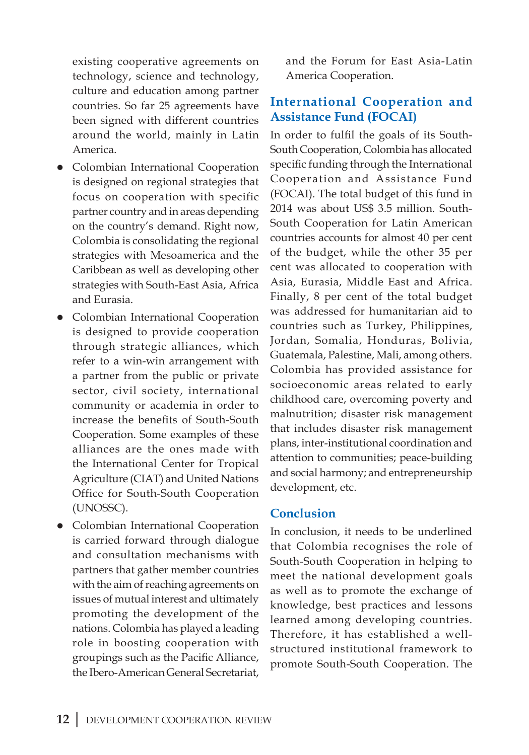existing cooperative agreements on technology, science and technology, culture and education among partner countries. So far 25 agreements have been signed with different countries around the world, mainly in Latin America.

- Colombian International Cooperation is designed on regional strategies that focus on cooperation with specific partner country and in areas depending on the country's demand. Right now, Colombia is consolidating the regional strategies with Mesoamerica and the Caribbean as well as developing other strategies with South-East Asia, Africa and Eurasia.
- **•** Colombian International Cooperation is designed to provide cooperation through strategic alliances, which refer to a win-win arrangement with a partner from the public or private sector, civil society, international community or academia in order to increase the benefits of South-South Cooperation. Some examples of these alliances are the ones made with the International Center for Tropical Agriculture (CIAT) and United Nations Office for South-South Cooperation (UNOSSC).
- Colombian International Cooperation is carried forward through dialogue and consultation mechanisms with partners that gather member countries with the aim of reaching agreements on issues of mutual interest and ultimately promoting the development of the nations. Colombia has played a leading role in boosting cooperation with groupings such as the Pacific Alliance, the Ibero-American General Secretariat,

and the Forum for East Asia-Latin America Cooperation.

### **International Cooperation and Assistance Fund (FOCAI)**

In order to fulfil the goals of its South-South Cooperation, Colombia has allocated specific funding through the International Cooperation and Assistance Fund (FOCAI). The total budget of this fund in 2014 was about US\$ 3.5 million. South-South Cooperation for Latin American countries accounts for almost 40 per cent of the budget, while the other 35 per cent was allocated to cooperation with Asia, Eurasia, Middle East and Africa. Finally, 8 per cent of the total budget was addressed for humanitarian aid to countries such as Turkey, Philippines, Jordan, Somalia, Honduras, Bolivia, Guatemala, Palestine, Mali, among others. Colombia has provided assistance for socioeconomic areas related to early childhood care, overcoming poverty and malnutrition; disaster risk management that includes disaster risk management plans, inter-institutional coordination and attention to communities; peace-building and social harmony; and entrepreneurship development, etc.

### **Conclusion**

In conclusion, it needs to be underlined that Colombia recognises the role of South-South Cooperation in helping to meet the national development goals as well as to promote the exchange of knowledge, best practices and lessons learned among developing countries. Therefore, it has established a wellstructured institutional framework to promote South-South Cooperation. The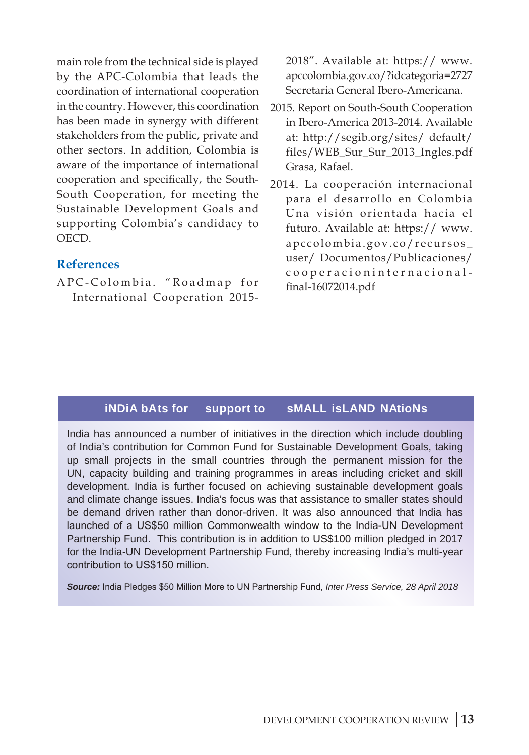main role from the technical side is played by the APC-Colombia that leads the coordination of international cooperation in the country. However, this coordination has been made in synergy with different stakeholders from the public, private and other sectors. In addition, Colombia is aware of the importance of international cooperation and specifically, the South-South Cooperation, for meeting the Sustainable Development Goals and supporting Colombia's candidacy to OECD.

### **References**

APC-Colombia. "Roadmap for International Cooperation 20152018". Available at: https:// www. apccolombia.gov.co/?idcategoria=2727 Secretaria General Ibero-Americana.

- 2015. Report on South-South Cooperation in Ibero-America 2013-2014. Available at: http://segib.org/sites/ default/ files/WEB\_Sur\_Sur\_2013\_Ingles.pdf Grasa, Rafael.
- 2014. La cooperación internacional para el desarrollo en Colombia Una visión orientada hacia el futuro. Available at: https:// www. apccolombia.gov.co/recursos\_ user/ Documentos/Publicaciones/ cooperacioninternacionalfinal-16072014.pdf

## **India bats for support to Small island Nations**

India has announced a number of initiatives in the direction which include doubling of India's contribution for Common Fund for Sustainable Development Goals, taking up small projects in the small countries through the permanent mission for the UN, capacity building and training programmes in areas including cricket and skill development. India is further focused on achieving sustainable development goals and climate change issues. India's focus was that assistance to smaller states should be demand driven rather than donor-driven. It was also announced that India has launched of a US\$50 million Commonwealth window to the India-UN Development Partnership Fund. This contribution is in addition to US\$100 million pledged in 2017 for the India-UN Development Partnership Fund, thereby increasing India's multi-year contribution to US\$150 million.

**Source:** India Pledges \$50 Million More to UN Partnership Fund, Inter Press Service, 28 April 2018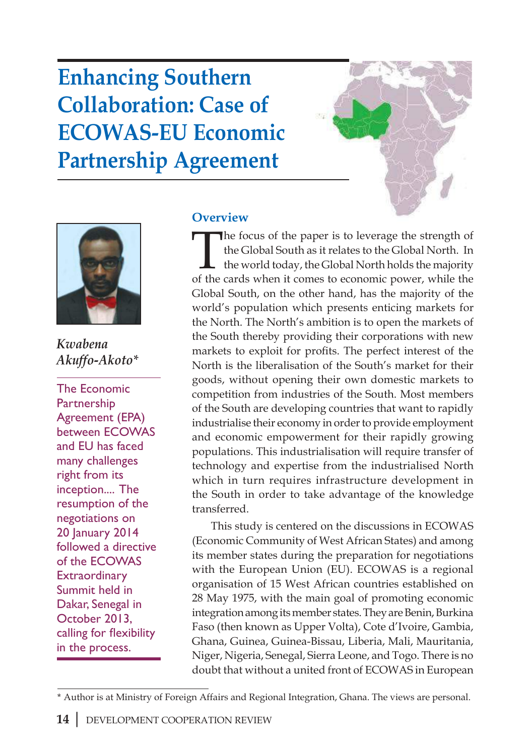# **Enhancing Southern Collaboration: Case of ECOWAS-EU Economic Partnership Agreement**





*Kwabena Akuffo-Akoto\**

The Economic Partnership Agreement (EPA) between ECOWAS and EU has faced many challenges right from its inception.... The resumption of the negotiations on 20 January 2014 followed a directive of the ECOWAS **Extraordinary** Summit held in Dakar, Senegal in October 2013, calling for flexibility in the process.

### **Overview**

The focus of the paper is to leverage the strength of the Global South as it relates to the Global North. In the world today, the Global North holds the majority of the cards when it comes to economic power, while the Global South, on the other hand, has the majority of the world's population which presents enticing markets for the North. The North's ambition is to open the markets of the South thereby providing their corporations with new markets to exploit for profits. The perfect interest of the North is the liberalisation of the South's market for their goods, without opening their own domestic markets to competition from industries of the South. Most members of the South are developing countries that want to rapidly industrialise their economy in order to provide employment and economic empowerment for their rapidly growing populations. This industrialisation will require transfer of technology and expertise from the industrialised North which in turn requires infrastructure development in the South in order to take advantage of the knowledge transferred.

This study is centered on the discussions in ECOWAS (Economic Community of West African States) and among its member states during the preparation for negotiations with the European Union (EU). ECOWAS is a regional organisation of 15 West African countries established on 28 May 1975, with the main goal of promoting economic integration among its member states. They are Benin, Burkina Faso (then known as Upper Volta), Cote d'Ivoire, Gambia, Ghana, Guinea, Guinea-Bissau, Liberia, Mali, Mauritania, Niger, Nigeria, Senegal, Sierra Leone, and Togo. There is no doubt that without a united front of ECOWAS in European

<sup>\*</sup> Author is at Ministry of Foreign Affairs and Regional Integration, Ghana. The views are personal.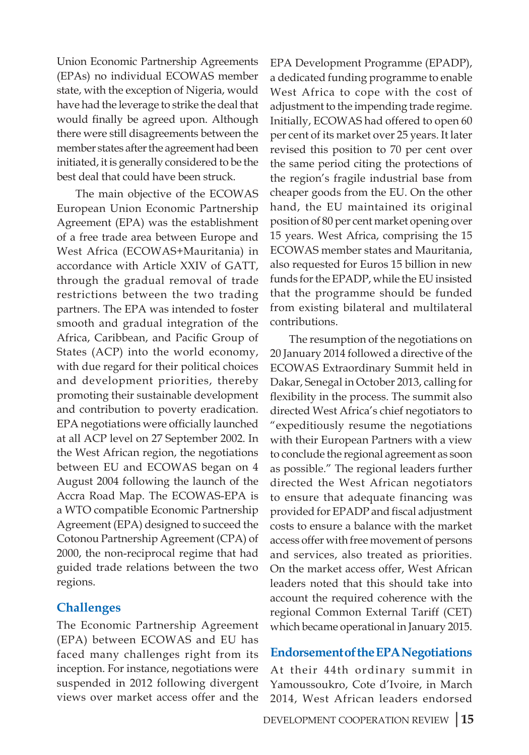Union Economic Partnership Agreements (EPAs) no individual ECOWAS member state, with the exception of Nigeria, would have had the leverage to strike the deal that would finally be agreed upon. Although there were still disagreements between the member states after the agreement had been initiated, it is generally considered to be the best deal that could have been struck.

The main objective of the ECOWAS European Union Economic Partnership Agreement (EPA) was the establishment of a free trade area between Europe and West Africa (ECOWAS+Mauritania) in accordance with Article XXIV of GATT, through the gradual removal of trade restrictions between the two trading partners. The EPA was intended to foster smooth and gradual integration of the Africa, Caribbean, and Pacific Group of States (ACP) into the world economy, with due regard for their political choices and development priorities, thereby promoting their sustainable development and contribution to poverty eradication. EPA negotiations were officially launched at all ACP level on 27 September 2002. In the West African region, the negotiations between EU and ECOWAS began on 4 August 2004 following the launch of the Accra Road Map. The ECOWAS-EPA is a WTO compatible Economic Partnership Agreement (EPA) designed to succeed the Cotonou Partnership Agreement (CPA) of 2000, the non-reciprocal regime that had guided trade relations between the two regions.

### **Challenges**

The Economic Partnership Agreement (EPA) between ECOWAS and EU has faced many challenges right from its inception. For instance, negotiations were suspended in 2012 following divergent views over market access offer and the

EPA Development Programme (EPADP), a dedicated funding programme to enable West Africa to cope with the cost of adjustment to the impending trade regime. Initially, ECOWAS had offered to open 60 per cent of its market over 25 years. It later revised this position to 70 per cent over the same period citing the protections of the region's fragile industrial base from cheaper goods from the EU. On the other hand, the EU maintained its original position of 80 per cent market opening over 15 years. West Africa, comprising the 15 ECOWAS member states and Mauritania, also requested for Euros 15 billion in new funds for the EPADP, while the EU insisted that the programme should be funded from existing bilateral and multilateral contributions.

The resumption of the negotiations on 20 January 2014 followed a directive of the ECOWAS Extraordinary Summit held in Dakar, Senegal in October 2013, calling for flexibility in the process. The summit also directed West Africa's chief negotiators to "expeditiously resume the negotiations with their European Partners with a view to conclude the regional agreement as soon as possible." The regional leaders further directed the West African negotiators to ensure that adequate financing was provided for EPADP and fiscal adjustment costs to ensure a balance with the market access offer with free movement of persons and services, also treated as priorities. On the market access offer, West African leaders noted that this should take into account the required coherence with the regional Common External Tariff (CET) which became operational in January 2015.

### **Endorsement of the EPA Negotiations**

At their 44th ordinary summit in Yamoussoukro, Cote d'Ivoire, in March 2014, West African leaders endorsed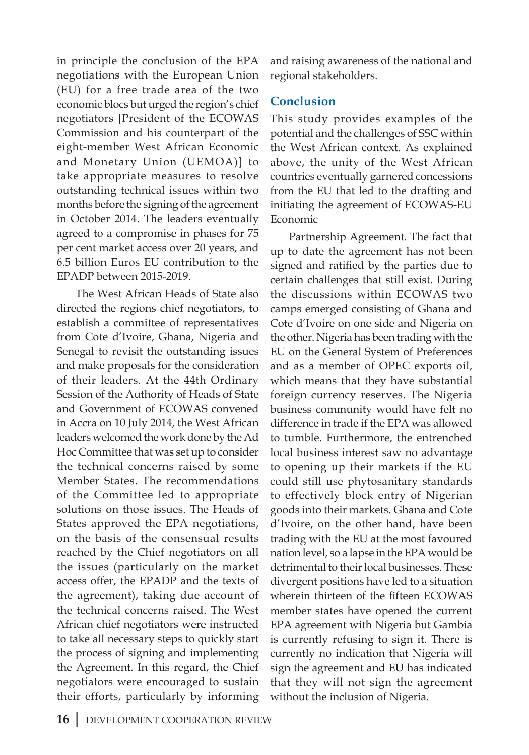in principle the conclusion of the EPA negotiations with the European Union (EU) for a free trade area of the two economic blocs but urged the region's chief negotiators [President of the ECOWAS Commission and his counterpart of the eight-member West African Economic and Monetary Union (UEMOA)] to take appropriate measures to resolve outstanding technical issues within two months before the signing of the agreement in October 2014. The leaders eventually agreed to a compromise in phases for 75 per cent market access over 20 years, and 6.5 billion Euros EU contribution to the EPADP between 2015-2019.

The West African Heads of State also directed the regions chief negotiators, to establish a committee of representatives from Cote d'Ivoire, Ghana, Nigeria and Senegal to revisit the outstanding issues and make proposals for the consideration of their leaders. At the 44th Ordinary Session of the Authority of Heads of State and Government of ECOWAS convened in Accra on 10 July 2014, the West African leaders welcomed the work done by the Ad Hoc Committee that was set up to consider the technical concerns raised by some Member States. The recommendations of the Committee led to appropriate solutions on those issues. The Heads of States approved the EPA negotiations, on the basis of the consensual results reached by the Chief negotiators on all the issues (particularly on the market access offer, the EPADP and the texts of the agreement), taking due account of the technical concerns raised. The West African chief negotiators were instructed to take all necessary steps to quickly start the process of signing and implementing the Agreement. In this regard, the Chief negotiators were encouraged to sustain their efforts, particularly by informing

and raising awareness of the national and regional stakeholders.

### **Conclusion**

This study provides examples of the potential and the challenges of SSC within the West African context. As explained above, the unity of the West African countries eventually garnered concessions from the EU that led to the drafting and initiating the agreement of ECOWAS-EU Economic

Partnership Agreement. The fact that up to date the agreement has not been signed and ratified by the parties due to certain challenges that still exist. During the discussions within ECOWAS two camps emerged consisting of Ghana and Cote d'Ivoire on one side and Nigeria on the other. Nigeria has been trading with the EU on the General System of Preferences and as a member of OPEC exports oil, which means that they have substantial foreign currency reserves. The Nigeria business community would have felt no difference in trade if the EPA was allowed to tumble. Furthermore, the entrenched local business interest saw no advantage to opening up their markets if the EU could still use phytosanitary standards to effectively block entry of Nigerian goods into their markets. Ghana and Cote d'Ivoire, on the other hand, have been trading with the EU at the most favoured nation level, so a lapse in the EPA would be detrimental to their local businesses. These divergent positions have led to a situation wherein thirteen of the fifteen ECOWAS member states have opened the current EPA agreement with Nigeria but Gambia is currently refusing to sign it. There is currently no indication that Nigeria will sign the agreement and EU has indicated that they will not sign the agreement without the inclusion of Nigeria.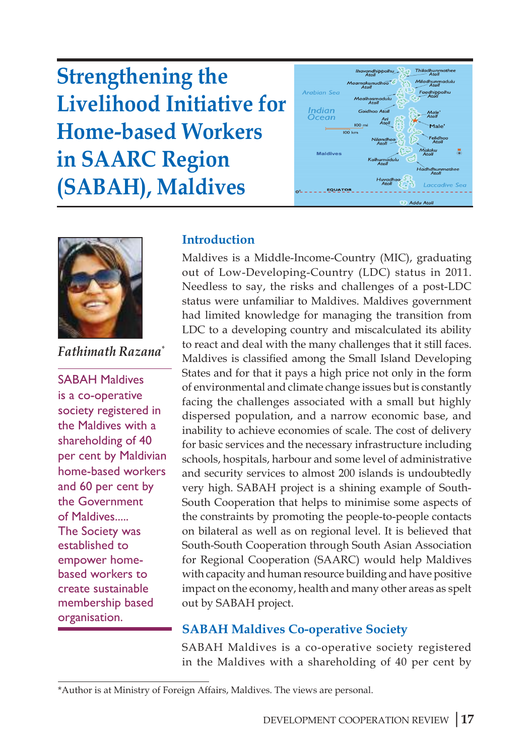**Strengthening the Livelihood Initiative for Home-based Workers in SAARC Region (SABAH), Maldives** 





*Fathimath Razana\**

SABAH Maldives is a co-operative society registered in the Maldives with a shareholding of 40 per cent by Maldivian home-based workers and 60 per cent by the Government of Maldives..... The Society was established to empower homebased workers to create sustainable membership based organisation.

## **Introduction**

Maldives is a Middle-Income-Country (MIC), graduating out of Low-Developing-Country (LDC) status in 2011. Needless to say, the risks and challenges of a post-LDC status were unfamiliar to Maldives. Maldives government had limited knowledge for managing the transition from LDC to a developing country and miscalculated its ability to react and deal with the many challenges that it still faces. Maldives is classified among the Small Island Developing States and for that it pays a high price not only in the form of environmental and climate change issues but is constantly facing the challenges associated with a small but highly dispersed population, and a narrow economic base, and inability to achieve economies of scale. The cost of delivery for basic services and the necessary infrastructure including schools, hospitals, harbour and some level of administrative and security services to almost 200 islands is undoubtedly very high. SABAH project is a shining example of South-South Cooperation that helps to minimise some aspects of the constraints by promoting the people-to-people contacts on bilateral as well as on regional level. It is believed that South-South Cooperation through South Asian Association for Regional Cooperation (SAARC) would help Maldives with capacity and human resource building and have positive impact on the economy, health and many other areas as spelt out by SABAH project.

## **SABAH Maldives Co-operative Society**

SABAH Maldives is a co-operative society registered in the Maldives with a shareholding of 40 per cent by

<sup>\*</sup>Author is at Ministry of Foreign Affairs, Maldives. The views are personal.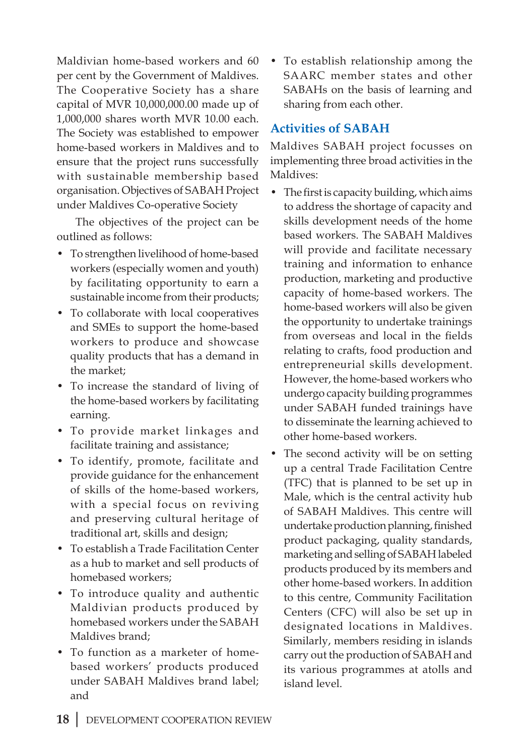Maldivian home-based workers and 60 per cent by the Government of Maldives. The Cooperative Society has a share capital of MVR 10,000,000.00 made up of 1,000,000 shares worth MVR 10.00 each. The Society was established to empower home-based workers in Maldives and to ensure that the project runs successfully with sustainable membership based organisation. Objectives of SABAH Project under Maldives Co-operative Society

The objectives of the project can be outlined as follows:

- To strengthen livelihood of home-based workers (especially women and youth) by facilitating opportunity to earn a sustainable income from their products;
- To collaborate with local cooperatives and SMEs to support the home-based workers to produce and showcase quality products that has a demand in the market;
- To increase the standard of living of the home-based workers by facilitating earning.
- To provide market linkages and facilitate training and assistance;
- To identify, promote, facilitate and provide guidance for the enhancement of skills of the home-based workers, with a special focus on reviving and preserving cultural heritage of traditional art, skills and design;
- To establish a Trade Facilitation Center as a hub to market and sell products of homebased workers;
- To introduce quality and authentic Maldivian products produced by homebased workers under the SABAH Maldives brand;
- To function as a marketer of homebased workers' products produced under SABAH Maldives brand label; and

• To establish relationship among the SAARC member states and other SABAHs on the basis of learning and sharing from each other.

# **Activities of SABAH**

Maldives SABAH project focusses on implementing three broad activities in the Maldives:

- The first is capacity building, which aims to address the shortage of capacity and skills development needs of the home based workers. The SABAH Maldives will provide and facilitate necessary training and information to enhance production, marketing and productive capacity of home-based workers. The home-based workers will also be given the opportunity to undertake trainings from overseas and local in the fields relating to crafts, food production and entrepreneurial skills development. However, the home-based workers who undergo capacity building programmes under SABAH funded trainings have to disseminate the learning achieved to other home-based workers.
- The second activity will be on setting up a central Trade Facilitation Centre (TFC) that is planned to be set up in Male, which is the central activity hub of SABAH Maldives. This centre will undertake production planning, finished product packaging, quality standards, marketing and selling of SABAH labeled products produced by its members and other home-based workers. In addition to this centre, Community Facilitation Centers (CFC) will also be set up in designated locations in Maldives. Similarly, members residing in islands carry out the production of SABAH and its various programmes at atolls and island level.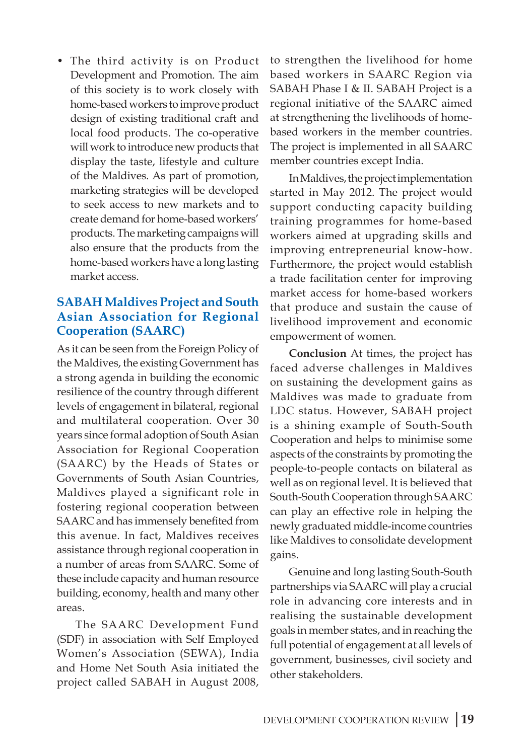• The third activity is on Product Development and Promotion. The aim of this society is to work closely with home-based workers to improve product design of existing traditional craft and local food products. The co-operative will work to introduce new products that display the taste, lifestyle and culture of the Maldives. As part of promotion, marketing strategies will be developed to seek access to new markets and to create demand for home-based workers' products. The marketing campaigns will also ensure that the products from the home-based workers have a long lasting market access.

### **SABAH Maldives Project and South Asian Association for Regional Cooperation (SAARC)**

As it can be seen from the Foreign Policy of the Maldives, the existing Government has a strong agenda in building the economic resilience of the country through different levels of engagement in bilateral, regional and multilateral cooperation. Over 30 years since formal adoption of South Asian Association for Regional Cooperation (SAARC) by the Heads of States or Governments of South Asian Countries, Maldives played a significant role in fostering regional cooperation between SAARC and has immensely benefited from this avenue. In fact, Maldives receives assistance through regional cooperation in a number of areas from SAARC. Some of these include capacity and human resource building, economy, health and many other areas.

The SAARC Development Fund (SDF) in association with Self Employed Women's Association (SEWA), India and Home Net South Asia initiated the project called SABAH in August 2008, to strengthen the livelihood for home based workers in SAARC Region via SABAH Phase I & II. SABAH Project is a regional initiative of the SAARC aimed at strengthening the livelihoods of homebased workers in the member countries. The project is implemented in all SAARC member countries except India.

In Maldives, the project implementation started in May 2012. The project would support conducting capacity building training programmes for home-based workers aimed at upgrading skills and improving entrepreneurial know-how. Furthermore, the project would establish a trade facilitation center for improving market access for home-based workers that produce and sustain the cause of livelihood improvement and economic empowerment of women.

**Conclusion** At times, the project has faced adverse challenges in Maldives on sustaining the development gains as Maldives was made to graduate from LDC status. However, SABAH project is a shining example of South-South Cooperation and helps to minimise some aspects of the constraints by promoting the people-to-people contacts on bilateral as well as on regional level. It is believed that South-South Cooperation through SAARC can play an effective role in helping the newly graduated middle-income countries like Maldives to consolidate development gains.

Genuine and long lasting South-South partnerships via SAARC will play a crucial role in advancing core interests and in realising the sustainable development goals in member states, and in reaching the full potential of engagement at all levels of government, businesses, civil society and other stakeholders.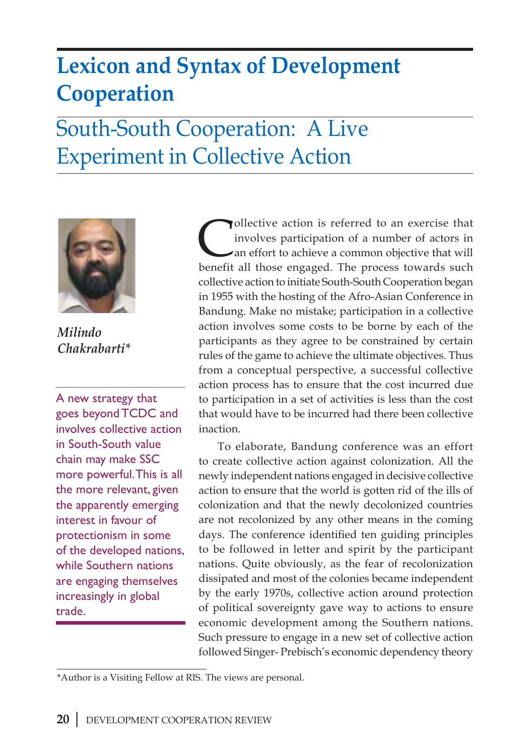# **Lexicon and Syntax of Development Cooperation**

# South-South Cooperation: A Live Experiment in Collective Action



*Milindo Chakrabarti\**

A new strategy that goes beyond TCDC and involves collective action in South-South value chain may make SSC more powerful. This is all the more relevant, given the apparently emerging interest in favour of protectionism in some of the developed nations, while Southern nations are engaging themselves increasingly in global trade.

Collective action is referred to an exercise that<br>involves participation of a number of actors in<br>an effort to achieve a common objective that will<br>henofit all those engaged. The process towards such involves participation of a number of actors in an effort to achieve a common objective that will benefit all those engaged. The process towards such collective action to initiate South-South Cooperation began in 1955 with the hosting of the Afro-Asian Conference in Bandung. Make no mistake; participation in a collective action involves some costs to be borne by each of the participants as they agree to be constrained by certain rules of the game to achieve the ultimate objectives. Thus from a conceptual perspective, a successful collective action process has to ensure that the cost incurred due to participation in a set of activities is less than the cost that would have to be incurred had there been collective inaction.

To elaborate, Bandung conference was an effort to create collective action against colonization. All the newly independent nations engaged in decisive collective action to ensure that the world is gotten rid of the ills of colonization and that the newly decolonized countries are not recolonized by any other means in the coming days. The conference identified ten guiding principles to be followed in letter and spirit by the participant nations. Quite obviously, as the fear of recolonization dissipated and most of the colonies became independent by the early 1970s, collective action around protection of political sovereignty gave way to actions to ensure economic development among the Southern nations. Such pressure to engage in a new set of collective action followed Singer- Prebisch's economic dependency theory

<sup>\*</sup>Author is a Visiting Fellow at RIS. The views are personal.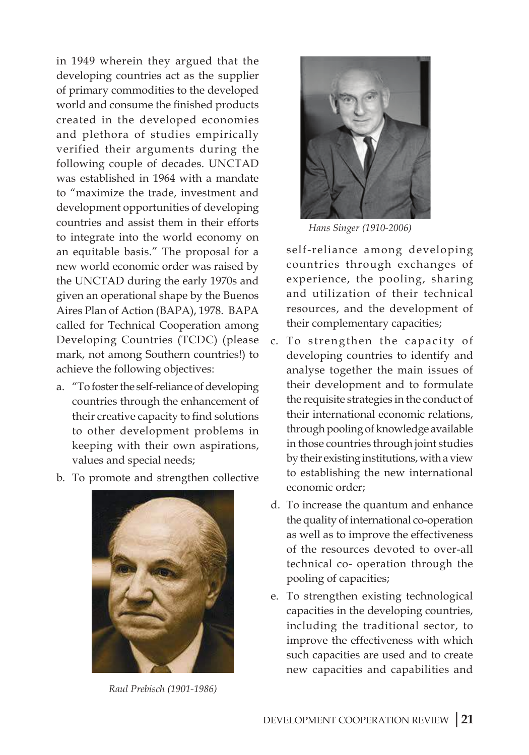in 1949 wherein they argued that the developing countries act as the supplier of primary commodities to the developed world and consume the finished products created in the developed economies and plethora of studies empirically verified their arguments during the following couple of decades. UNCTAD was established in 1964 with a mandate to "maximize the trade, investment and development opportunities of developing countries and assist them in their efforts to integrate into the world economy on an equitable basis." The proposal for a new world economic order was raised by the UNCTAD during the early 1970s and given an operational shape by the Buenos Aires Plan of Action (BAPA), 1978. BAPA called for Technical Cooperation among Developing Countries (TCDC) (please mark, not among Southern countries!) to achieve the following objectives:

- a. "To foster the self-reliance of developing countries through the enhancement of their creative capacity to find solutions to other development problems in keeping with their own aspirations, values and special needs;
- b. To promote and strengthen collective



*Raul Prebisch (1901-1986)*



*Hans Singer (1910-2006)*

self-reliance among developing countries through exchanges of experience, the pooling, sharing and utilization of their technical resources, and the development of their complementary capacities;

- c. To strengthen the capacity of developing countries to identify and analyse together the main issues of their development and to formulate the requisite strategies in the conduct of their international economic relations, through pooling of knowledge available in those countries through joint studies by their existing institutions, with a view to establishing the new international economic order;
- d. To increase the quantum and enhance the quality of international co-operation as well as to improve the effectiveness of the resources devoted to over-all technical co- operation through the pooling of capacities;
- e. To strengthen existing technological capacities in the developing countries, including the traditional sector, to improve the effectiveness with which such capacities are used and to create new capacities and capabilities and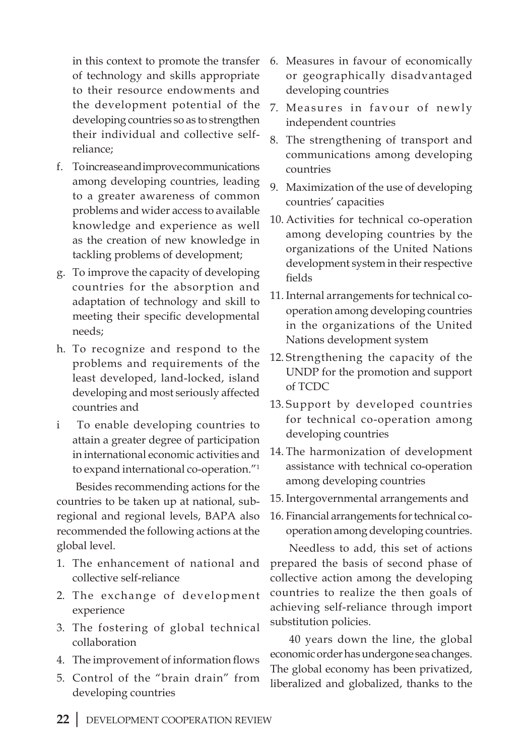in this context to promote the transfer of technology and skills appropriate to their resource endowments and the development potential of the developing countries so as to strengthen their individual and collective selfreliance;

- f. To increase and improve communications among developing countries, leading to a greater awareness of common problems and wider access to available knowledge and experience as well as the creation of new knowledge in tackling problems of development;
- g. To improve the capacity of developing countries for the absorption and adaptation of technology and skill to meeting their specific developmental needs;
- h. To recognize and respond to the problems and requirements of the least developed, land-locked, island developing and most seriously affected countries and
- i To enable developing countries to attain a greater degree of participation in international economic activities and to expand international co-operation."1

Besides recommending actions for the countries to be taken up at national, subregional and regional levels, BAPA also recommended the following actions at the global level.

- 1. The enhancement of national and collective self-reliance
- 2. The exchange of development experience
- 3. The fostering of global technical collaboration
- 4. The improvement of information flows
- 5. Control of the "brain drain" from developing countries
- 6. Measures in favour of economically or geographically disadvantaged developing countries
- 7. Measures in favour of newly independent countries
- 8. The strengthening of transport and communications among developing countries
- 9. Maximization of the use of developing countries' capacities
- 10. Activities for technical co-operation among developing countries by the organizations of the United Nations development system in their respective fields
- 11. Internal arrangements for technical cooperation among developing countries in the organizations of the United Nations development system
- 12. Strengthening the capacity of the UNDP for the promotion and support of TCDC
- 13. Support by developed countries for technical co-operation among developing countries
- 14. The harmonization of development assistance with technical co-operation among developing countries
- 15. Intergovernmental arrangements and
- 16. Financial arrangements for technical cooperation among developing countries.

Needless to add, this set of actions prepared the basis of second phase of collective action among the developing countries to realize the then goals of achieving self-reliance through import substitution policies.

40 years down the line, the global economic order has undergone sea changes. The global economy has been privatized, liberalized and globalized, thanks to the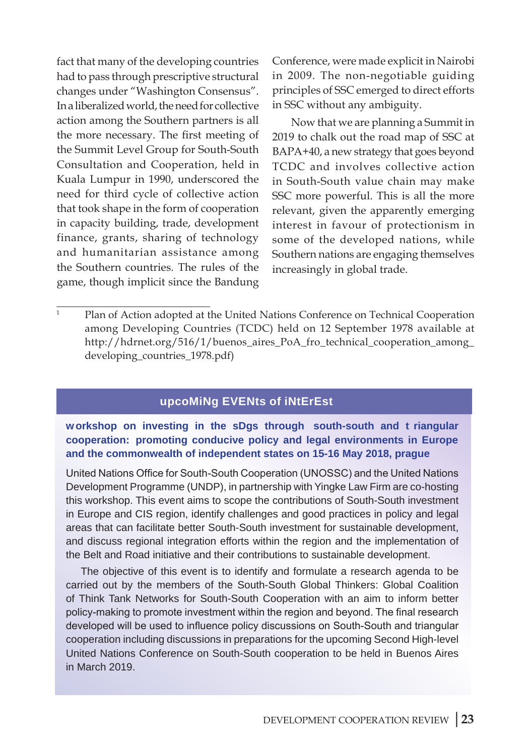fact that many of the developing countries had to pass through prescriptive structural changes under "Washington Consensus". In a liberalized world, the need for collective action among the Southern partners is all the more necessary. The first meeting of the Summit Level Group for South-South Consultation and Cooperation, held in Kuala Lumpur in 1990, underscored the need for third cycle of collective action that took shape in the form of cooperation in capacity building, trade, development finance, grants, sharing of technology and humanitarian assistance among the Southern countries. The rules of the game, though implicit since the Bandung

Conference, were made explicit in Nairobi in 2009. The non-negotiable guiding principles of SSC emerged to direct efforts in SSC without any ambiguity.

Now that we are planning a Summit in 2019 to chalk out the road map of SSC at BAPA+40, a new strategy that goes beyond TCDC and involves collective action in South-South value chain may make SSC more powerful. This is all the more relevant, given the apparently emerging interest in favour of protectionism in some of the developed nations, while Southern nations are engaging themselves increasingly in global trade.

### **upcoming Events of interest**

#### **workshop on investing in the sDgs through south-south and t riangular cooperation: promoting conducive policy and legal environments in Europe and the commonwealth of independent states on 15-16 May 2018, prague**

United Nations Office for South-South Cooperation (UNOSSC) and the United Nations Development Programme (UNDP), in partnership with Yingke Law Firm are co-hosting this workshop. This event aims to scope the contributions of South-South investment in Europe and CIS region, identify challenges and good practices in policy and legal areas that can facilitate better South-South investment for sustainable development, and discuss regional integration efforts within the region and the implementation of the Belt and Road initiative and their contributions to sustainable development.

The objective of this event is to identify and formulate a research agenda to be carried out by the members of the South-South Global Thinkers: Global Coalition of Think Tank Networks for South-South Cooperation with an aim to inform better policy-making to promote investment within the region and beyond. The final research developed will be used to influence policy discussions on South-South and triangular cooperation including discussions in preparations for the upcoming Second High-level United Nations Conference on South-South cooperation to be held in Buenos Aires in March 2019.

 $\frac{1}{1}$  Plan of Action adopted at the United Nations Conference on Technical Cooperation among Developing Countries (TCDC) held on 12 September 1978 available at http://hdrnet.org/516/1/buenos\_aires\_PoA\_fro\_technical\_cooperation\_among\_ developing\_countries\_1978.pdf)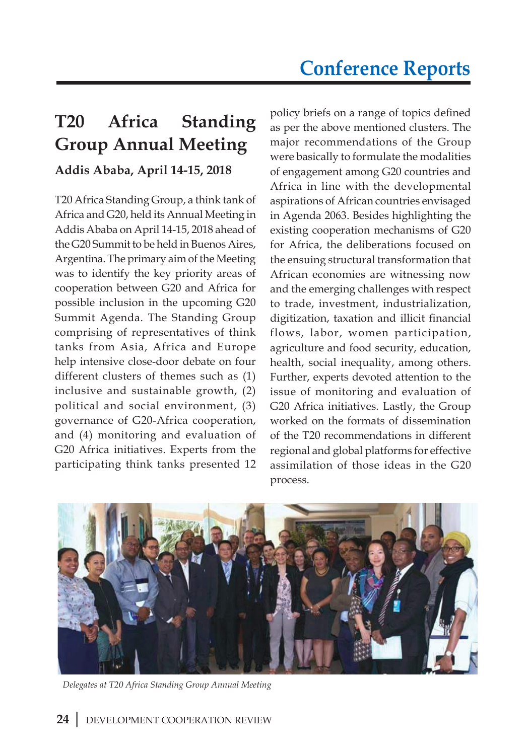# **T20 Africa Standing Group Annual Meeting**

# **Addis Ababa, April 14-15, 2018**

T20 Africa Standing Group, a think tank of Africa and G20, held its Annual Meeting in Addis Ababa on April 14-15, 2018 ahead of the G20 Summit to be held in Buenos Aires, Argentina. The primary aim of the Meeting was to identify the key priority areas of cooperation between G20 and Africa for possible inclusion in the upcoming G20 Summit Agenda. The Standing Group comprising of representatives of think tanks from Asia, Africa and Europe help intensive close-door debate on four different clusters of themes such as (1) inclusive and sustainable growth, (2) political and social environment, (3) governance of G20-Africa cooperation, and (4) monitoring and evaluation of G20 Africa initiatives. Experts from the participating think tanks presented 12

policy briefs on a range of topics defined as per the above mentioned clusters. The major recommendations of the Group were basically to formulate the modalities of engagement among G20 countries and Africa in line with the developmental aspirations of African countries envisaged in Agenda 2063. Besides highlighting the existing cooperation mechanisms of G20 for Africa, the deliberations focused on the ensuing structural transformation that African economies are witnessing now and the emerging challenges with respect to trade, investment, industrialization, digitization, taxation and illicit financial flows, labor, women participation, agriculture and food security, education, health, social inequality, among others. Further, experts devoted attention to the issue of monitoring and evaluation of G20 Africa initiatives. Lastly, the Group worked on the formats of dissemination of the T20 recommendations in different regional and global platforms for effective assimilation of those ideas in the G20 process.



*Delegates at T20 Africa Standing Group Annual Meeting*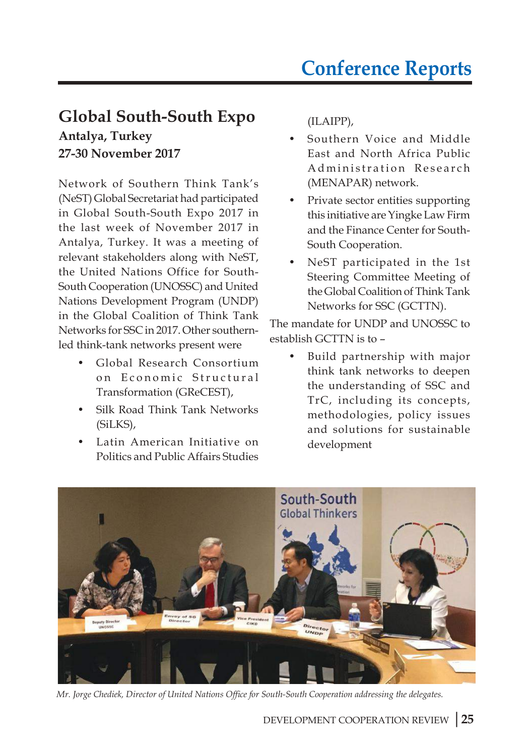# **Global South-South Expo Antalya, Turkey**

**27-30 November 2017**

Network of Southern Think Tank's (NeST) Global Secretariat had participated in Global South-South Expo 2017 in the last week of November 2017 in Antalya, Turkey. It was a meeting of relevant stakeholders along with NeST, the United Nations Office for South-South Cooperation (UNOSSC) and United Nations Development Program (UNDP) in the Global Coalition of Think Tank Networks for SSC in 2017. Other southernled think-tank networks present were

- Global Research Consortium on Economic Structural Transformation (GReCEST),
- Silk Road Think Tank Networks (SiLKS),
- Latin American Initiative on Politics and Public Affairs Studies

(ILAIPP),

- Southern Voice and Middle East and North Africa Public Administration Research (MENAPAR) network.
- Private sector entities supporting this initiative are Yingke Law Firm and the Finance Center for South-South Cooperation.
- NeST participated in the 1st Steering Committee Meeting of the Global Coalition of Think Tank Networks for SSC (GCTTN).

The mandate for UNDP and UNOSSC to establish GCTTN is to –

Build partnership with major think tank networks to deepen the understanding of SSC and TrC, including its concepts, methodologies, policy issues and solutions for sustainable development



*Mr. Jorge Chediek, Director of United Nations Office for South-South Cooperation addressing the delegates.*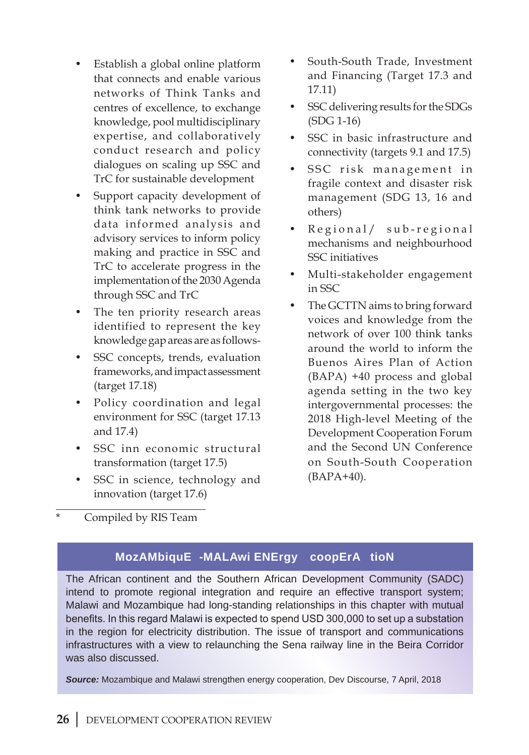- Establish a global online platform that connects and enable various networks of Think Tanks and centres of excellence, to exchange knowledge, pool multidisciplinary expertise, and collaboratively conduct research and policy dialogues on scaling up SSC and TrC for sustainable development
- Support capacity development of think tank networks to provide data informed analysis and advisory services to inform policy making and practice in SSC and TrC to accelerate progress in the implementation of the 2030 Agenda through SSC and TrC
- The ten priority research areas identified to represent the key knowledge gap areas are as follows-
- SSC concepts, trends, evaluation frameworks, and impact assessment (target 17.18)
- Policy coordination and legal environment for SSC (target 17.13 and 17.4)
- SSC inn economic structural transformation (target 17.5)
- SSC in science, technology and innovation (target 17.6)
- South-South Trade, Investment and Financing (Target 17.3 and 17.11)
- SSC delivering results for the SDGs (SDG 1-16)
- SSC in basic infrastructure and connectivity (targets 9.1 and 17.5)
- SSC risk management in fragile context and disaster risk management (SDG 13, 16 and others)
- Regional/ sub-regional mechanisms and neighbourhood SSC initiatives
- Multi-stakeholder engagement in SSC
- The GCTTN aims to bring forward voices and knowledge from the network of over 100 think tanks around the world to inform the Buenos Aires Plan of Action (BAPA) +40 process and global agenda setting in the two key intergovernmental processes: the 2018 High-level Meeting of the Development Cooperation Forum and the Second UN Conference on South-South Cooperation (BAPA+40).

Compiled by RIS Team

## **Mozambique -Malawi Energy coopera tion**

The African continent and the Southern African Development Community (SADC) intend to promote regional integration and require an effective transport system; Malawi and Mozambique had long-standing relationships in this chapter with mutual benefits. In this regard Malawi is expected to spend USD 300,000 to set up a substation in the region for electricity distribution. The issue of transport and communications infrastructures with a view to relaunching the Sena railway line in the Beira Corridor was also discussed.

**Source:** Mozambique and Malawi strengthen energy cooperation, Dev Discourse, 7 April, 2018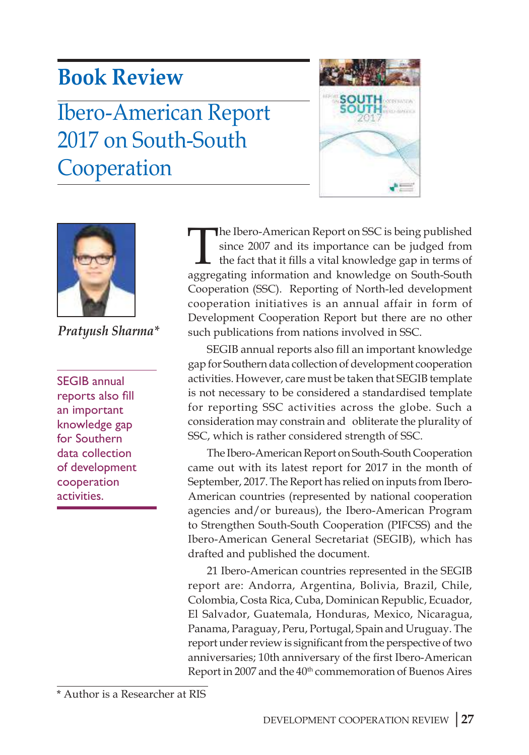# **Book Review**

# Ibero-American Report 2017 on South-South Cooperation





*Pratyush Sharma\**

SEGIB annual reports also fill an important knowledge gap for Southern data collection of development cooperation activities.

The Ibero-American Report on SSC is being published<br>since 2007 and its importance can be judged from<br>the fact that it fills a vital knowledge gap in terms of<br>aggregating information and knowledge on South-South since 2007 and its importance can be judged from the fact that it fills a vital knowledge gap in terms of aggregating information and knowledge on South-South Cooperation (SSC). Reporting of North-led development cooperation initiatives is an annual affair in form of Development Cooperation Report but there are no other such publications from nations involved in SSC.

SEGIB annual reports also fill an important knowledge gap for Southern data collection of development cooperation activities. However, care must be taken that SEGIB template is not necessary to be considered a standardised template for reporting SSC activities across the globe. Such a consideration may constrain and obliterate the plurality of SSC, which is rather considered strength of SSC.

The Ibero-American Report on South-South Cooperation came out with its latest report for 2017 in the month of September, 2017. The Report has relied on inputs from Ibero-American countries (represented by national cooperation agencies and/or bureaus), the Ibero-American Program to Strengthen South-South Cooperation (PIFCSS) and the Ibero-American General Secretariat (SEGIB), which has drafted and published the document.

21 Ibero-American countries represented in the SEGIB report are: Andorra, Argentina, Bolivia, Brazil, Chile, Colombia, Costa Rica, Cuba, Dominican Republic, Ecuador, El Salvador, Guatemala, Honduras, Mexico, Nicaragua, Panama, Paraguay, Peru, Portugal, Spain and Uruguay. The report under review is significant from the perspective of two anniversaries; 10th anniversary of the first Ibero-American Report in 2007 and the 40<sup>th</sup> commemoration of Buenos Aires

<sup>\*</sup> Author is a Researcher at RIS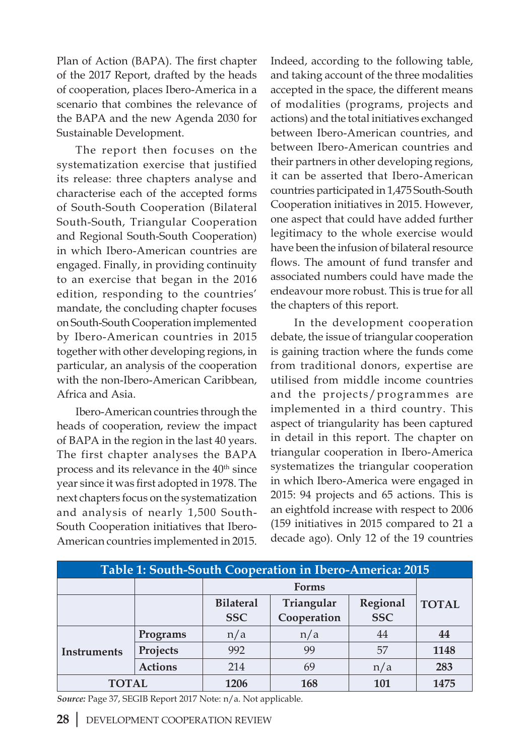Plan of Action (BAPA). The first chapter of the 2017 Report, drafted by the heads of cooperation, places Ibero-America in a scenario that combines the relevance of the BAPA and the new Agenda 2030 for Sustainable Development.

The report then focuses on the systematization exercise that justified its release: three chapters analyse and characterise each of the accepted forms of South-South Cooperation (Bilateral South-South, Triangular Cooperation and Regional South-South Cooperation) in which Ibero-American countries are engaged. Finally, in providing continuity to an exercise that began in the 2016 edition, responding to the countries' mandate, the concluding chapter focuses on South-South Cooperation implemented by Ibero-American countries in 2015 together with other developing regions, in particular, an analysis of the cooperation with the non-Ibero-American Caribbean, Africa and Asia.

Ibero-American countries through the heads of cooperation, review the impact of BAPA in the region in the last 40 years. The first chapter analyses the BAPA process and its relevance in the  $40<sup>th</sup>$  since year since it was first adopted in 1978. The next chapters focus on the systematization and analysis of nearly 1,500 South-South Cooperation initiatives that Ibero-American countries implemented in 2015. Indeed, according to the following table, and taking account of the three modalities accepted in the space, the different means of modalities (programs, projects and actions) and the total initiatives exchanged between Ibero-American countries, and between Ibero-American countries and their partners in other developing regions, it can be asserted that Ibero-American countries participated in 1,475 South-South Cooperation initiatives in 2015. However, one aspect that could have added further legitimacy to the whole exercise would have been the infusion of bilateral resource flows. The amount of fund transfer and associated numbers could have made the endeavour more robust. This is true for all the chapters of this report.

 In the development cooperation debate, the issue of triangular cooperation is gaining traction where the funds come from traditional donors, expertise are utilised from middle income countries and the projects/programmes are implemented in a third country. This aspect of triangularity has been captured in detail in this report. The chapter on triangular cooperation in Ibero-America systematizes the triangular cooperation in which Ibero-America were engaged in 2015: 94 projects and 65 actions. This is an eightfold increase with respect to 2006 (159 initiatives in 2015 compared to 21 a decade ago). Only 12 of the 19 countries

| Table 1: South-South Cooperation in Ibero-America: 2015 |                |                  |             |            |              |  |  |
|---------------------------------------------------------|----------------|------------------|-------------|------------|--------------|--|--|
|                                                         |                |                  |             |            |              |  |  |
|                                                         |                | <b>Bilateral</b> | Triangular  | Regional   | <b>TOTAL</b> |  |  |
|                                                         |                | <b>SSC</b>       | Cooperation | <b>SSC</b> |              |  |  |
| Instruments                                             | Programs       | n/a              | n/a         | 44         | 44           |  |  |
|                                                         | Projects       | 992              | 99          | 57         | 1148         |  |  |
|                                                         | <b>Actions</b> | 214              | 69          | n/a        | 283          |  |  |
| <b>TOTAL</b>                                            |                | 1206             | 168         | 101        | 1475         |  |  |

*Source:* Page 37, SEGIB Report 2017 Note: n/a. Not applicable.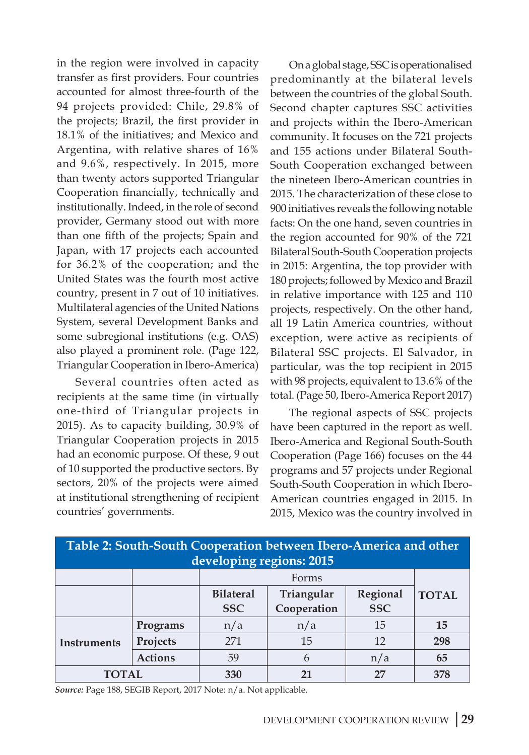in the region were involved in capacity transfer as first providers. Four countries accounted for almost three-fourth of the 94 projects provided: Chile, 29.8% of the projects; Brazil, the first provider in 18.1% of the initiatives; and Mexico and Argentina, with relative shares of 16% and 9.6%, respectively. In 2015, more than twenty actors supported Triangular Cooperation financially, technically and institutionally. Indeed, in the role of second provider, Germany stood out with more than one fifth of the projects; Spain and Japan, with 17 projects each accounted for 36.2% of the cooperation; and the United States was the fourth most active country, present in 7 out of 10 initiatives. Multilateral agencies of the United Nations System, several Development Banks and some subregional institutions (e.g. OAS) also played a prominent role. (Page 122, Triangular Cooperation in Ibero-America)

Several countries often acted as recipients at the same time (in virtually one-third of Triangular projects in 2015). As to capacity building, 30.9% of Triangular Cooperation projects in 2015 had an economic purpose. Of these, 9 out of 10 supported the productive sectors. By sectors, 20% of the projects were aimed at institutional strengthening of recipient countries' governments.

On a global stage, SSC is operationalised predominantly at the bilateral levels between the countries of the global South. Second chapter captures SSC activities and projects within the Ibero-American community. It focuses on the 721 projects and 155 actions under Bilateral South-South Cooperation exchanged between the nineteen Ibero-American countries in 2015. The characterization of these close to 900 initiatives reveals the following notable facts: On the one hand, seven countries in the region accounted for 90% of the 721 Bilateral South-South Cooperation projects in 2015: Argentina, the top provider with 180 projects; followed by Mexico and Brazil in relative importance with 125 and 110 projects, respectively. On the other hand, all 19 Latin America countries, without exception, were active as recipients of Bilateral SSC projects. El Salvador, in particular, was the top recipient in 2015 with 98 projects, equivalent to 13.6% of the total. (Page 50, Ibero-America Report 2017)

The regional aspects of SSC projects have been captured in the report as well. Ibero-America and Regional South-South Cooperation (Page 166) focuses on the 44 programs and 57 projects under Regional South-South Cooperation in which Ibero-American countries engaged in 2015. In 2015, Mexico was the country involved in

| Table 2: South-South Cooperation between Ibero-America and other<br>developing regions: 2015 |                |                  |             |            |              |  |  |  |
|----------------------------------------------------------------------------------------------|----------------|------------------|-------------|------------|--------------|--|--|--|
|                                                                                              |                |                  |             |            |              |  |  |  |
|                                                                                              |                | <b>Bilateral</b> | Triangular  | Regional   | <b>TOTAL</b> |  |  |  |
|                                                                                              |                | <b>SSC</b>       | Cooperation | <b>SSC</b> |              |  |  |  |
| <b>Instruments</b>                                                                           | Programs       | n/a              | n/a         | 15         | 15           |  |  |  |
|                                                                                              | Projects       | 271              | 15          | 12         | 298          |  |  |  |
|                                                                                              | <b>Actions</b> | 59               | 6           | n/a        | 65           |  |  |  |
| TOTAL                                                                                        |                | 330              | 21          | 27         | 378          |  |  |  |

*Source:* Page 188, SEGIB Report, 2017 Note: n/a. Not applicable.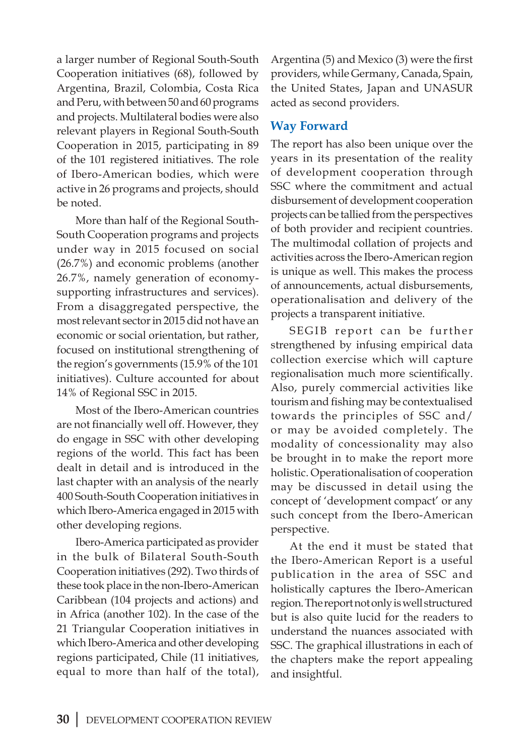a larger number of Regional South-South Cooperation initiatives (68), followed by Argentina, Brazil, Colombia, Costa Rica and Peru, with between 50 and 60 programs and projects. Multilateral bodies were also relevant players in Regional South-South Cooperation in 2015, participating in 89 of the 101 registered initiatives. The role of Ibero-American bodies, which were active in 26 programs and projects, should be noted.

More than half of the Regional South-South Cooperation programs and projects under way in 2015 focused on social (26.7%) and economic problems (another 26.7%, namely generation of economysupporting infrastructures and services). From a disaggregated perspective, the most relevant sector in 2015 did not have an economic or social orientation, but rather, focused on institutional strengthening of the region's governments (15.9% of the 101 initiatives). Culture accounted for about 14% of Regional SSC in 2015.

Most of the Ibero-American countries are not financially well off. However, they do engage in SSC with other developing regions of the world. This fact has been dealt in detail and is introduced in the last chapter with an analysis of the nearly 400 South-South Cooperation initiatives in which Ibero-America engaged in 2015 with other developing regions.

Ibero-America participated as provider in the bulk of Bilateral South-South Cooperation initiatives (292). Two thirds of these took place in the non-Ibero-American Caribbean (104 projects and actions) and in Africa (another 102). In the case of the 21 Triangular Cooperation initiatives in which Ibero-America and other developing regions participated, Chile (11 initiatives, equal to more than half of the total),

Argentina (5) and Mexico (3) were the first providers, while Germany, Canada, Spain, the United States, Japan and UNASUR acted as second providers.

### **Way Forward**

The report has also been unique over the years in its presentation of the reality of development cooperation through SSC where the commitment and actual disbursement of development cooperation projects can be tallied from the perspectives of both provider and recipient countries. The multimodal collation of projects and activities across the Ibero-American region is unique as well. This makes the process of announcements, actual disbursements, operationalisation and delivery of the projects a transparent initiative.

SEGIB report can be further strengthened by infusing empirical data collection exercise which will capture regionalisation much more scientifically. Also, purely commercial activities like tourism and fishing may be contextualised towards the principles of SSC and/ or may be avoided completely. The modality of concessionality may also be brought in to make the report more holistic. Operationalisation of cooperation may be discussed in detail using the concept of 'development compact' or any such concept from the Ibero-American perspective.

At the end it must be stated that the Ibero-American Report is a useful publication in the area of SSC and holistically captures the Ibero-American region. The report not only is well structured but is also quite lucid for the readers to understand the nuances associated with SSC. The graphical illustrations in each of the chapters make the report appealing and insightful.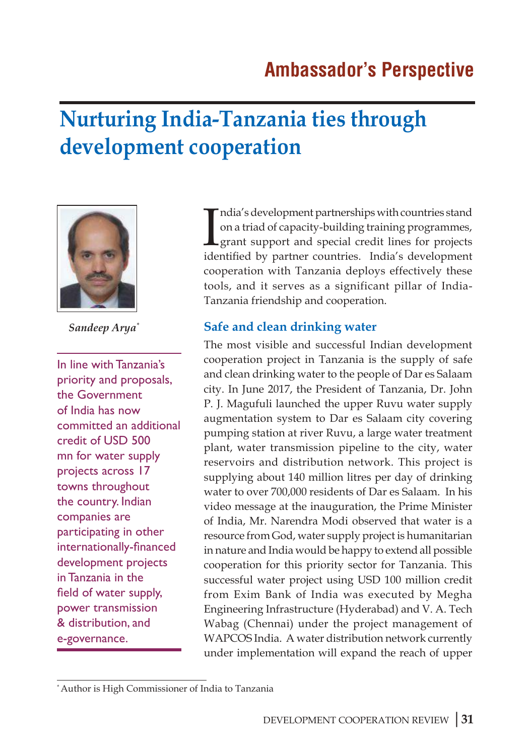# **Nurturing India-Tanzania ties through development cooperation**



*Sandeep Arya\**

In line with Tanzania's priority and proposals, the Government of India has now committed an additional credit of USD 500 mn for water supply projects across 17 towns throughout the country. Indian companies are participating in other internationally-financed development projects in Tanzania in the field of water supply, power transmission & distribution, and e-governance.

India's development partnerships with countries stand<br>on a triad of capacity-building training programmes,<br>grant support and special credit lines for projects<br>identified by partner countries. India's development ndia's development partnerships with countries stand on a triad of capacity-building training programmes, grant support and special credit lines for projects cooperation with Tanzania deploys effectively these tools, and it serves as a significant pillar of India-Tanzania friendship and cooperation.

### **Safe and clean drinking water**

The most visible and successful Indian development cooperation project in Tanzania is the supply of safe and clean drinking water to the people of Dar es Salaam city. In June 2017, the President of Tanzania, Dr. John P. J. Magufuli launched the upper Ruvu water supply augmentation system to Dar es Salaam city covering pumping station at river Ruvu, a large water treatment plant, water transmission pipeline to the city, water reservoirs and distribution network. This project is supplying about 140 million litres per day of drinking water to over 700,000 residents of Dar es Salaam. In his video message at the inauguration, the Prime Minister of India, Mr. Narendra Modi observed that water is a resource from God, water supply project is humanitarian in nature and India would be happy to extend all possible cooperation for this priority sector for Tanzania. This successful water project using USD 100 million credit from Exim Bank of India was executed by Megha Engineering Infrastructure (Hyderabad) and V. A. Tech Wabag (Chennai) under the project management of WAPCOS India. A water distribution network currently under implementation will expand the reach of upper

<sup>\*</sup> Author is High Commissioner of India to Tanzania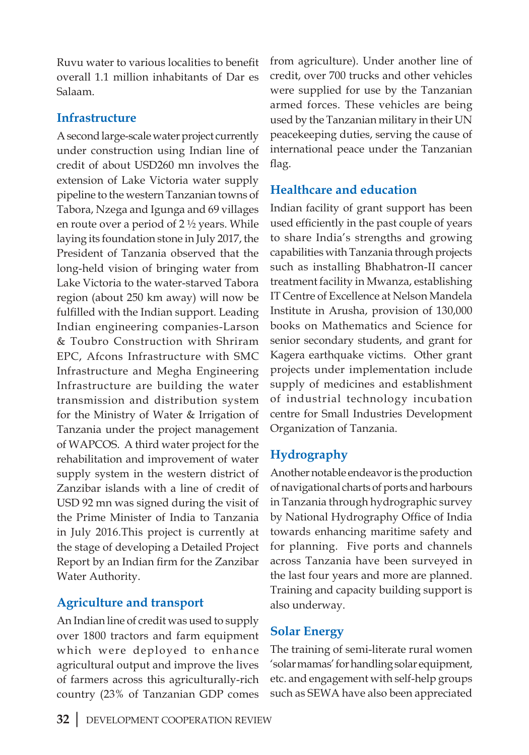Ruvu water to various localities to benefit overall 1.1 million inhabitants of Dar es Salaam.

# **Infrastructure**

A second large-scale water project currently under construction using Indian line of credit of about USD260 mn involves the extension of Lake Victoria water supply pipeline to the western Tanzanian towns of Tabora, Nzega and Igunga and 69 villages en route over a period of 2 ½ years. While laying its foundation stone in July 2017, the President of Tanzania observed that the long-held vision of bringing water from Lake Victoria to the water-starved Tabora region (about 250 km away) will now be fulfilled with the Indian support. Leading Indian engineering companies-Larson & Toubro Construction with Shriram EPC, Afcons Infrastructure with SMC Infrastructure and Megha Engineering Infrastructure are building the water transmission and distribution system for the Ministry of Water & Irrigation of Tanzania under the project management of WAPCOS. A third water project for the rehabilitation and improvement of water supply system in the western district of Zanzibar islands with a line of credit of USD 92 mn was signed during the visit of the Prime Minister of India to Tanzania in July 2016.This project is currently at the stage of developing a Detailed Project Report by an Indian firm for the Zanzibar Water Authority.

# **Agriculture and transport**

An Indian line of credit was used to supply over 1800 tractors and farm equipment which were deployed to enhance agricultural output and improve the lives of farmers across this agriculturally-rich country (23% of Tanzanian GDP comes

from agriculture). Under another line of credit, over 700 trucks and other vehicles were supplied for use by the Tanzanian armed forces. These vehicles are being used by the Tanzanian military in their UN peacekeeping duties, serving the cause of international peace under the Tanzanian flag.

# **Healthcare and education**

Indian facility of grant support has been used efficiently in the past couple of years to share India's strengths and growing capabilities with Tanzania through projects such as installing Bhabhatron-II cancer treatment facility in Mwanza, establishing IT Centre of Excellence at Nelson Mandela Institute in Arusha, provision of 130,000 books on Mathematics and Science for senior secondary students, and grant for Kagera earthquake victims. Other grant projects under implementation include supply of medicines and establishment of industrial technology incubation centre for Small Industries Development Organization of Tanzania.

## **Hydrography**

Another notable endeavor is the production of navigational charts of ports and harbours in Tanzania through hydrographic survey by National Hydrography Office of India towards enhancing maritime safety and for planning. Five ports and channels across Tanzania have been surveyed in the last four years and more are planned. Training and capacity building support is also underway.

# **Solar Energy**

The training of semi-literate rural women 'solar mamas' for handling solar equipment, etc. and engagement with self-help groups such as SEWA have also been appreciated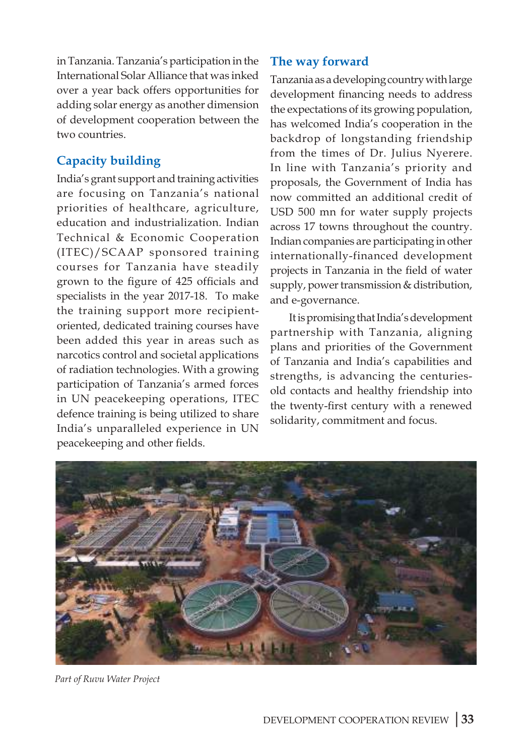in Tanzania. Tanzania's participation in the International Solar Alliance that was inked over a year back offers opportunities for adding solar energy as another dimension of development cooperation between the two countries.

# **Capacity building**

India's grant support and training activities are focusing on Tanzania's national priorities of healthcare, agriculture, education and industrialization. Indian Technical & Economic Cooperation (ITEC)/SCAAP sponsored training courses for Tanzania have steadily grown to the figure of 425 officials and specialists in the year 2017-18. To make the training support more recipientoriented, dedicated training courses have been added this year in areas such as narcotics control and societal applications of radiation technologies. With a growing participation of Tanzania's armed forces in UN peacekeeping operations, ITEC defence training is being utilized to share India's unparalleled experience in UN peacekeeping and other fields.

# **The way forward**

Tanzania as a developing country with large development financing needs to address the expectations of its growing population, has welcomed India's cooperation in the backdrop of longstanding friendship from the times of Dr. Julius Nyerere. In line with Tanzania's priority and proposals, the Government of India has now committed an additional credit of USD 500 mn for water supply projects across 17 towns throughout the country. Indian companies are participating in other internationally-financed development projects in Tanzania in the field of water supply, power transmission & distribution, and e-governance.

It is promising that India's development partnership with Tanzania, aligning plans and priorities of the Government of Tanzania and India's capabilities and strengths, is advancing the centuriesold contacts and healthy friendship into the twenty-first century with a renewed solidarity, commitment and focus.



*Part of Ruvu Water Project*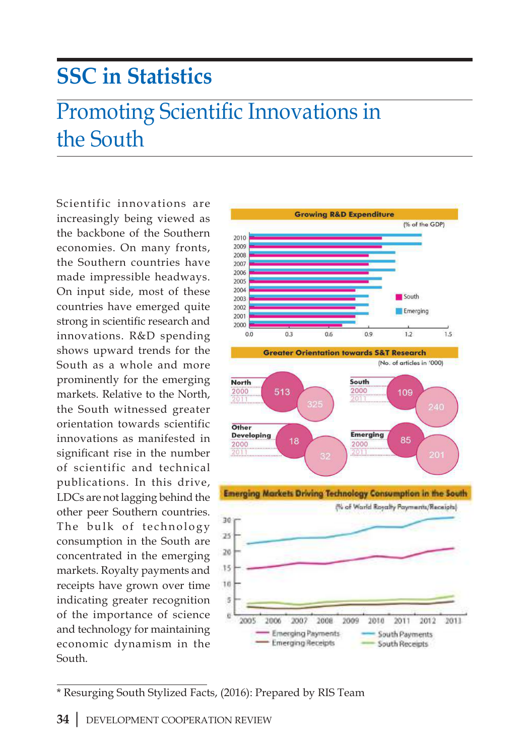# **SSC in Statistics**

# Promoting Scientific Innovations in the South

Scientific innovations are increasingly being viewed as the backbone of the Southern economies. On many fronts, the Southern countries have made impressible headways. On input side, most of these countries have emerged quite strong in scientific research and innovations. R&D spending shows upward trends for the South as a whole and more prominently for the emerging markets. Relative to the North, the South witnessed greater orientation towards scientific innovations as manifested in significant rise in the number of scientific and technical publications. In this drive, LDCs are not lagging behind the other peer Southern countries. The bulk of technology consumption in the South are concentrated in the emerging markets. Royalty payments and receipts have grown over time indicating greater recognition of the importance of science and technology for maintaining economic dynamism in the South.



\* Resurging South Stylized Facts, (2016): Prepared by RIS Team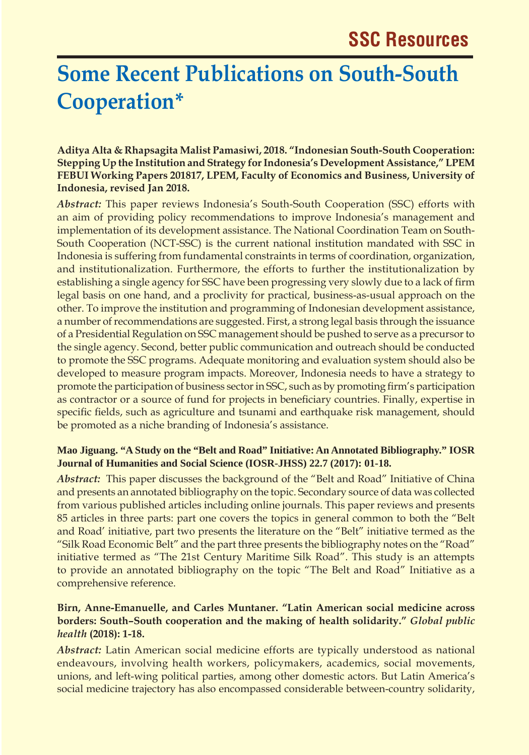# **Some Recent Publications on South-South Cooperation\***

#### **Aditya Alta & Rhapsagita Malist Pamasiwi, 2018. "Indonesian South-South Cooperation: Stepping Up the Institution and Strategy for Indonesia's Development Assistance," LPEM FEBUI Working Papers 201817, LPEM, Faculty of Economics and Business, University of Indonesia, revised Jan 2018.**

*Abstract:* This paper reviews Indonesia's South-South Cooperation (SSC) efforts with an aim of providing policy recommendations to improve Indonesia's management and implementation of its development assistance. The National Coordination Team on South-South Cooperation (NCT-SSC) is the current national institution mandated with SSC in Indonesia is suffering from fundamental constraints in terms of coordination, organization, and institutionalization. Furthermore, the efforts to further the institutionalization by establishing a single agency for SSC have been progressing very slowly due to a lack of firm legal basis on one hand, and a proclivity for practical, business-as-usual approach on the other. To improve the institution and programming of Indonesian development assistance, a number of recommendations are suggested. First, a strong legal basis through the issuance of a Presidential Regulation on SSC management should be pushed to serve as a precursor to the single agency. Second, better public communication and outreach should be conducted to promote the SSC programs. Adequate monitoring and evaluation system should also be developed to measure program impacts. Moreover, Indonesia needs to have a strategy to promote the participation of business sector in SSC, such as by promoting firm's participation as contractor or a source of fund for projects in beneficiary countries. Finally, expertise in specific fields, such as agriculture and tsunami and earthquake risk management, should be promoted as a niche branding of Indonesia's assistance.

#### **Mao Jiguang. "A Study on the "Belt and Road" Initiative: An Annotated Bibliography." IOSR Journal of Humanities and Social Science (IOSR-JHSS) 22.7 (2017): 01-18.**

*Abstract:* This paper discusses the background of the "Belt and Road" Initiative of China and presents an annotated bibliography on the topic. Secondary source of data was collected from various published articles including online journals. This paper reviews and presents 85 articles in three parts: part one covers the topics in general common to both the "Belt and Road' initiative, part two presents the literature on the "Belt" initiative termed as the "Silk Road Economic Belt" and the part three presents the bibliography notes on the "Road" initiative termed as "The 21st Century Maritime Silk Road". This study is an attempts to provide an annotated bibliography on the topic "The Belt and Road" Initiative as a comprehensive reference.

#### **Birn, Anne-Emanuelle, and Carles Muntaner. "Latin American social medicine across borders: South–South cooperation and the making of health solidarity."** *Global public health* **(2018): 1-18.**

*Abstract:* Latin American social medicine efforts are typically understood as national endeavours, involving health workers, policymakers, academics, social movements, unions, and left-wing political parties, among other domestic actors. But Latin America's social medicine trajectory has also encompassed considerable between-country solidarity,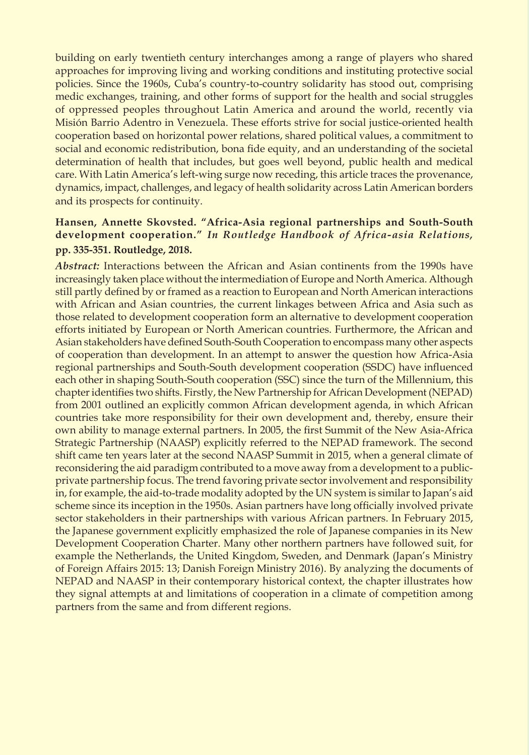building on early twentieth century interchanges among a range of players who shared approaches for improving living and working conditions and instituting protective social policies. Since the 1960s, Cuba's country-to-country solidarity has stood out, comprising medic exchanges, training, and other forms of support for the health and social struggles of oppressed peoples throughout Latin America and around the world, recently via Misión Barrio Adentro in Venezuela. These efforts strive for social justice-oriented health cooperation based on horizontal power relations, shared political values, a commitment to social and economic redistribution, bona fide equity, and an understanding of the societal determination of health that includes, but goes well beyond, public health and medical care. With Latin America's left-wing surge now receding, this article traces the provenance, dynamics, impact, challenges, and legacy of health solidarity across Latin American borders and its prospects for continuity.

### **Hansen, Annette Skovsted. "Africa-Asia regional partnerships and South-South development cooperation."** *In Routledge Handbook of Africa-asia Relations,* **pp. 335-351. Routledge, 2018.**

*Abstract:* Interactions between the African and Asian continents from the 1990s have increasingly taken place without the intermediation of Europe and North America. Although still partly defined by or framed as a reaction to European and North American interactions with African and Asian countries, the current linkages between Africa and Asia such as those related to development cooperation form an alternative to development cooperation efforts initiated by European or North American countries. Furthermore, the African and Asian stakeholders have defined South-South Cooperation to encompass many other aspects of cooperation than development. In an attempt to answer the question how Africa-Asia regional partnerships and South-South development cooperation (SSDC) have influenced each other in shaping South-South cooperation (SSC) since the turn of the Millennium, this chapter identifies two shifts. Firstly, the New Partnership for African Development (NEPAD) from 2001 outlined an explicitly common African development agenda, in which African countries take more responsibility for their own development and, thereby, ensure their own ability to manage external partners. In 2005, the first Summit of the New Asia-Africa Strategic Partnership (NAASP) explicitly referred to the NEPAD framework. The second shift came ten years later at the second NAASP Summit in 2015, when a general climate of reconsidering the aid paradigm contributed to a move away from a development to a publicprivate partnership focus. The trend favoring private sector involvement and responsibility in, for example, the aid-to-trade modality adopted by the UN system is similar to Japan's aid scheme since its inception in the 1950s. Asian partners have long officially involved private sector stakeholders in their partnerships with various African partners. In February 2015, the Japanese government explicitly emphasized the role of Japanese companies in its New Development Cooperation Charter. Many other northern partners have followed suit, for example the Netherlands, the United Kingdom, Sweden, and Denmark (Japan's Ministry of Foreign Affairs 2015: 13; Danish Foreign Ministry 2016). By analyzing the documents of NEPAD and NAASP in their contemporary historical context, the chapter illustrates how they signal attempts at and limitations of cooperation in a climate of competition among partners from the same and from different regions.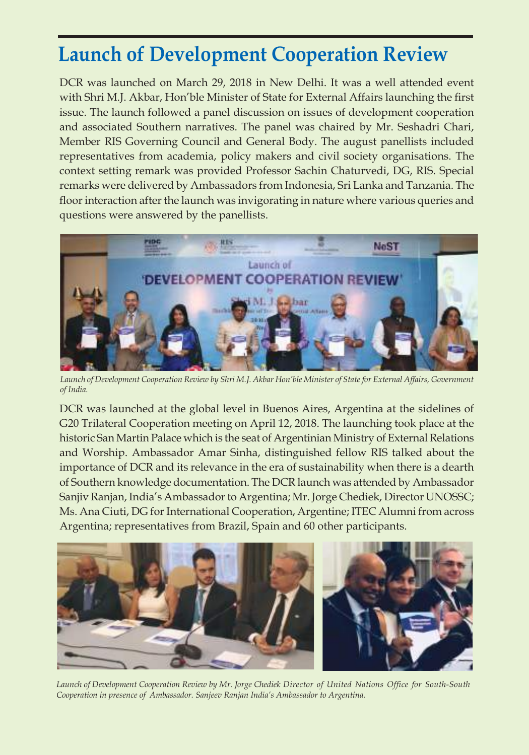# **Launch of Development Cooperation Review**

DCR was launched on March 29, 2018 in New Delhi. It was a well attended event with Shri M.J. Akbar, Hon'ble Minister of State for External Affairs launching the first issue. The launch followed a panel discussion on issues of development cooperation and associated Southern narratives. The panel was chaired by Mr. Seshadri Chari, Member RIS Governing Council and General Body. The august panellists included representatives from academia, policy makers and civil society organisations. The context setting remark was provided Professor Sachin Chaturvedi, DG, RIS. Special remarks were delivered by Ambassadors from Indonesia, Sri Lanka and Tanzania. The floor interaction after the launch was invigorating in nature where various queries and questions were answered by the panellists.



*Launch of Development Cooperation Review by Shri M.J. Akbar Hon'ble Minister of State for External Affairs, Government of India.*

DCR was launched at the global level in Buenos Aires, Argentina at the sidelines of G20 Trilateral Cooperation meeting on April 12, 2018. The launching took place at the historic San Martin Palace which is the seat of Argentinian Ministry of External Relations and Worship. Ambassador Amar Sinha, distinguished fellow RIS talked about the importance of DCR and its relevance in the era of sustainability when there is a dearth of Southern knowledge documentation. The DCR launch was attended by Ambassador Sanjiv Ranjan, India's Ambassador to Argentina; Mr. Jorge Chediek, Director UNOSSC; Ms. Ana Ciuti, DG for International Cooperation, Argentine; ITEC Alumni from across Argentina; representatives from Brazil, Spain and 60 other participants.



*Launch of Development Cooperation Review by Mr. Jorge Chediek Director of United Nations Office for South-South Cooperation in presence of Ambassador. Sanjeev Ranjan India's Ambassador to Argentina.*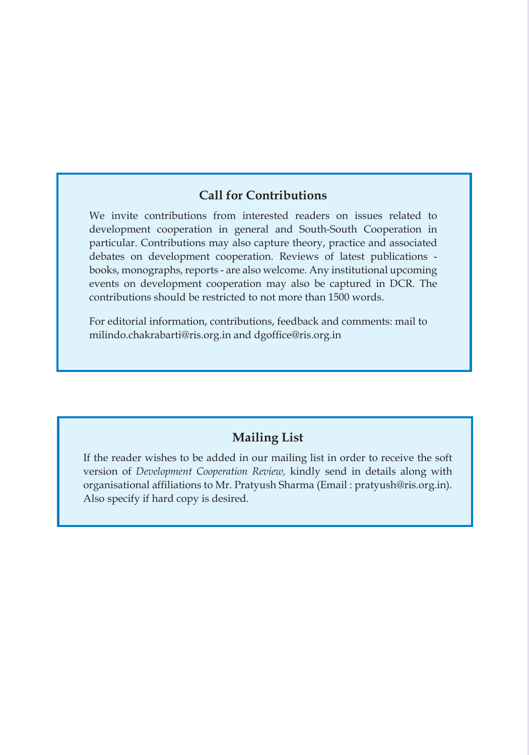### **Call for Contributions**

We invite contributions from interested readers on issues related to development cooperation in general and South-South Cooperation in particular. Contributions may also capture theory, practice and associated debates on development cooperation. Reviews of latest publications books, monographs, reports - are also welcome. Any institutional upcoming events on development cooperation may also be captured in DCR. The contributions should be restricted to not more than 1500 words.

For editorial information, contributions, feedback and comments: mail to milindo.chakrabarti@ris.org.in and dgoffice@ris.org.in

### **Mailing List**

If the reader wishes to be added in our mailing list in order to receive the soft version of *Development Cooperation Review,* kindly send in details along with organisational affiliations to Mr. Pratyush Sharma (Email : pratyush@ris.org.in). Also specify if hard copy is desired.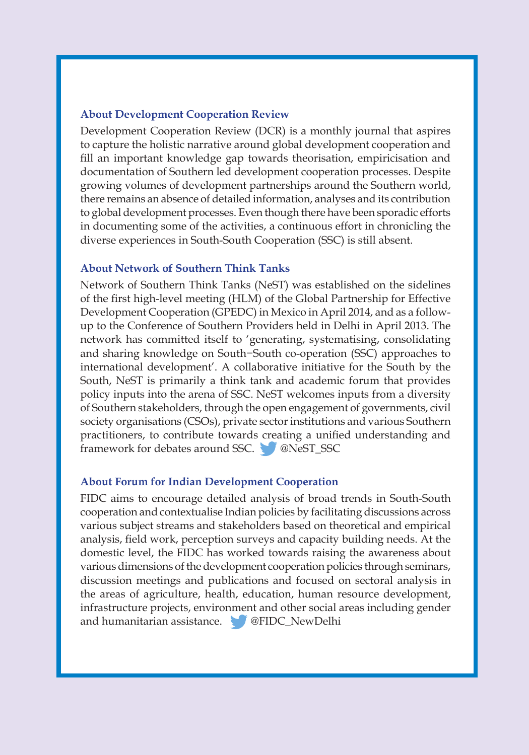#### **About Development Cooperation Review**

Development Cooperation Review (DCR) is a monthly journal that aspires to capture the holistic narrative around global development cooperation and fill an important knowledge gap towards theorisation, empiricisation and documentation of Southern led development cooperation processes. Despite growing volumes of development partnerships around the Southern world, there remains an absence of detailed information, analyses and its contribution to global development processes. Even though there have been sporadic efforts in documenting some of the activities, a continuous effort in chronicling the diverse experiences in South-South Cooperation (SSC) is still absent.

#### **About Network of Southern Think Tanks**

Network of Southern Think Tanks (NeST) was established on the sidelines of the first high-level meeting (HLM) of the Global Partnership for Effective Development Cooperation (GPEDC) in Mexico in April 2014, and as a followup to the Conference of Southern Providers held in Delhi in April 2013. The network has committed itself to 'generating, systematising, consolidating and sharing knowledge on South−South co-operation (SSC) approaches to international development'. A collaborative initiative for the South by the South, NeST is primarily a think tank and academic forum that provides policy inputs into the arena of SSC. NeST welcomes inputs from a diversity of Southern stakeholders, through the open engagement of governments, civil society organisations (CSOs), private sector institutions and various Southern practitioners, to contribute towards creating a unified understanding and framework for debates around SSC. @NeST\_SSC

#### **About Forum for Indian Development Cooperation**

FIDC aims to encourage detailed analysis of broad trends in South-South cooperation and contextualise Indian policies by facilitating discussions across various subject streams and stakeholders based on theoretical and empirical analysis, field work, perception surveys and capacity building needs. At the domestic level, the FIDC has worked towards raising the awareness about various dimensions of the development cooperation policies through seminars, discussion meetings and publications and focused on sectoral analysis in the areas of agriculture, health, education, human resource development, infrastructure projects, environment and other social areas including gender and humanitarian assistance. **@FIDC\_NewDelhi**